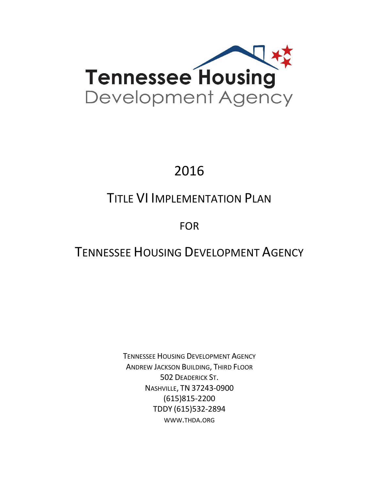

# 2016

# TITLE VI IMPLEMENTATION PLAN

# FOR

# TENNESSEE HOUSING DEVELOPMENT AGENCY

TENNESSEE HOUSING DEVELOPMENT AGENCY ANDREW JACKSON BUILDING, THIRD FLOOR 502 DEADERICK ST. NASHVILLE, TN 37243-0900 (615)815-2200 TDDY (615)532-2894 WWW.THDA.ORG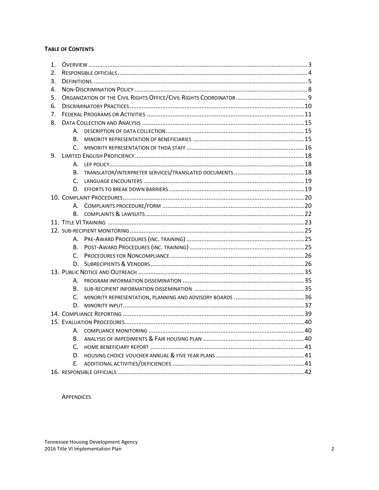#### **TABLE OF CONTENTS**

| 1. |                |  |  |  |  |
|----|----------------|--|--|--|--|
| 2. |                |  |  |  |  |
| 3. |                |  |  |  |  |
| 4. |                |  |  |  |  |
| 5. |                |  |  |  |  |
| 6. |                |  |  |  |  |
| 7. |                |  |  |  |  |
| 8. |                |  |  |  |  |
|    |                |  |  |  |  |
|    | <b>B.</b>      |  |  |  |  |
|    | C.             |  |  |  |  |
| 9. |                |  |  |  |  |
|    | А.             |  |  |  |  |
|    | B <sub>r</sub> |  |  |  |  |
|    | C.             |  |  |  |  |
|    | D.             |  |  |  |  |
|    |                |  |  |  |  |
|    | A.             |  |  |  |  |
|    | В.             |  |  |  |  |
|    |                |  |  |  |  |
|    |                |  |  |  |  |
|    | А.             |  |  |  |  |
|    | <b>B.</b>      |  |  |  |  |
|    | C.             |  |  |  |  |
|    |                |  |  |  |  |
|    |                |  |  |  |  |
|    |                |  |  |  |  |
|    | А.             |  |  |  |  |
|    | <b>B.</b>      |  |  |  |  |
|    | C.             |  |  |  |  |
|    | D.             |  |  |  |  |
|    |                |  |  |  |  |
|    |                |  |  |  |  |
|    | Α.             |  |  |  |  |
|    | В.             |  |  |  |  |
|    | C.             |  |  |  |  |
|    | D.             |  |  |  |  |
|    | F.             |  |  |  |  |

#### APPENDICES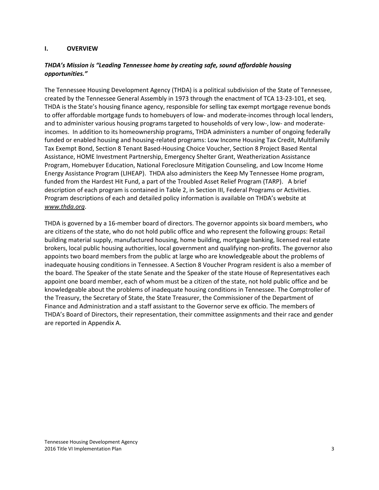#### **I. OVERVIEW**

### *THDA's Mission is "Leading Tennessee home by creating safe, sound affordable housing opportunities."*

The Tennessee Housing Development Agency (THDA) is a political subdivision of the State of Tennessee, created by the Tennessee General Assembly in 1973 through the enactment of TCA 13-23-101, et seq. THDA is the State's housing finance agency, responsible for selling tax exempt mortgage revenue bonds to offer affordable mortgage funds to homebuyers of low- and moderate-incomes through local lenders, and to administer various housing programs targeted to households of very low-, low- and moderateincomes. In addition to its homeownership programs, THDA administers a number of ongoing federally funded or enabled housing and housing-related programs: Low Income Housing Tax Credit, Multifamily Tax Exempt Bond, Section 8 Tenant Based-Housing Choice Voucher, Section 8 Project Based Rental Assistance, HOME Investment Partnership, Emergency Shelter Grant, Weatherization Assistance Program, Homebuyer Education, National Foreclosure Mitigation Counseling, and Low Income Home Energy Assistance Program (LIHEAP). THDA also administers the Keep My Tennessee Home program, funded from the Hardest Hit Fund, a part of the Troubled Asset Relief Program (TARP). A brief description of each program is contained in Table 2, in Section III, Federal Programs or Activities. Program descriptions of each and detailed policy information is available on THDA's website at *www.thda.org*.

THDA is governed by a 16-member board of directors. The governor appoints six board members, who are citizens of the state, who do not hold public office and who represent the following groups: Retail building material supply, manufactured housing, home building, mortgage banking, licensed real estate brokers, local public housing authorities, local government and qualifying non-profits. The governor also appoints two board members from the public at large who are knowledgeable about the problems of inadequate housing conditions in Tennessee. A Section 8 Voucher Program resident is also a member of the board. The Speaker of the state Senate and the Speaker of the state House of Representatives each appoint one board member, each of whom must be a citizen of the state, not hold public office and be knowledgeable about the problems of inadequate housing conditions in Tennessee. The Comptroller of the Treasury, the Secretary of State, the State Treasurer, the Commissioner of the Department of Finance and Administration and a staff assistant to the Governor serve ex officio. The members of THDA's Board of Directors, their representation, their committee assignments and their race and gender are reported in Appendix A.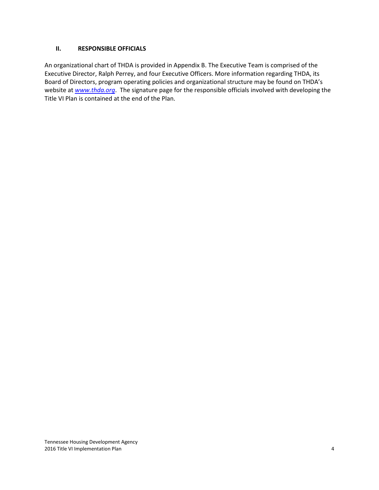#### **II. RESPONSIBLE OFFICIALS**

An organizational chart of THDA is provided in Appendix B. The Executive Team is comprised of the Executive Director, Ralph Perrey, and four Executive Officers. More information regarding THDA, its Board of Directors, program operating policies and organizational structure may be found on THDA's website at *[www.thda.org](http://www.thda.org/)*. The signature page for the responsible officials involved with developing the Title VI Plan is contained at the end of the Plan.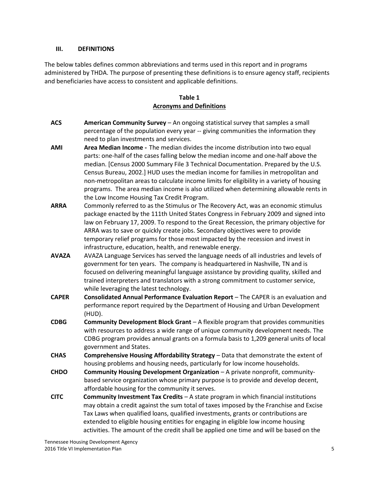#### **III. DEFINITIONS**

The below tables defines common abbreviations and terms used in this report and in programs administered by THDA. The purpose of presenting these definitions is to ensure agency staff, recipients and beneficiaries have access to consistent and applicable definitions.

#### **Table 1 Acronyms and Definitions**

- **ACS American Community Survey** An ongoing statistical survey that samples a small percentage of the population every year -- giving communities the information they need to plan investments and services.
- **AMI Area Median Income -** The median divides the income distribution into two equal parts: one-half of the cases falling below the median income and one-half above the median. [Census 2000 Summary File 3 Technical Documentation. Prepared by the U.S. Census Bureau, 2002.] HUD uses the median income for families in metropolitan and non-metropolitan areas to calculate income limits for eligibility in a variety of housing programs. The area median income is also utilized when determining allowable rents in the Low Income Housing Tax Credit Program.
- **ARRA** Commonly referred to as the Stimulus or The Recovery Act, was an economic stimulus package enacted by the 111th United States Congress in February 2009 and signed into law on February 17, 2009. To respond to the Great Recession, the primary objective for ARRA was to save or quickly create jobs. Secondary objectives were to provide temporary relief programs for those most impacted by the recession and invest in infrastructure, education, health, and renewable energy.
- **AVAZA** AVAZA Language Services has served the language needs of all industries and levels of government for ten years. The company is headquartered in Nashville, TN and is focused on delivering meaningful language assistance by providing quality, skilled and trained interpreters and translators with a strong commitment to customer service, while leveraging the latest technology.
- **CAPER Consolidated Annual Performance Evaluation Report**  The CAPER is an evaluation and performance report required by the Department of Housing and Urban Development (HUD).
- **CDBG Community Development Block Grant**  A flexible program that provides communities with resources to address a wide range of unique community development needs. The CDBG program provides annual grants on a formula basis to 1,209 general units of local government and States.
- **CHAS Comprehensive Housing Affordability Strategy** Data that demonstrate the extent of housing problems and housing needs, particularly for low income households.
- **CHDO Community Housing Development Organization**  A private nonprofit, communitybased service organization whose primary purpose is to provide and develop decent, affordable housing for the community it serves.
- **CITC Community Investment Tax Credits** A state program in which financial institutions may obtain a credit against the sum total of taxes imposed by the Franchise and Excise Tax Laws when qualified loans, qualified investments, grants or contributions are extended to eligible housing entities for engaging in eligible low income housing activities. The amount of the credit shall be applied one time and will be based on the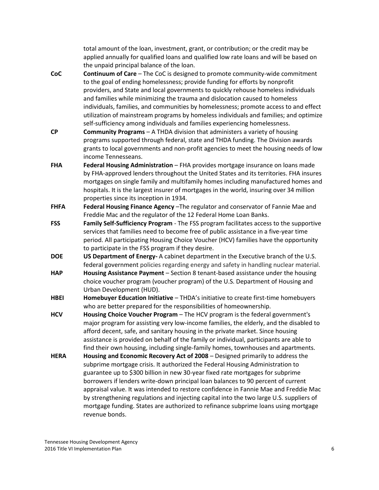total amount of the loan, investment, grant, or contribution; or the credit may be applied annually for qualified loans and qualified low rate loans and will be based on the unpaid principal balance of the loan.

- **CoC Continuum of Care** The CoC is designed to promote community-wide commitment to the goal of ending homelessness; provide funding for efforts by nonprofit providers, and State and local governments to quickly rehouse homeless individuals and families while minimizing the trauma and dislocation caused to homeless individuals, families, and communities by homelessness; promote access to and effect utilization of mainstream programs by homeless individuals and families; and optimize self-sufficiency among individuals and families experiencing homelessness.
- **CP Community Programs** A THDA division that administers a variety of housing programs supported through federal, state and THDA funding. The Division awards grants to local governments and non-profit agencies to meet the housing needs of low income Tennesseans.
- **FHA Federal Housing Administration** FHA provides mortgage insurance on loans made by FHA-approved lenders throughout the United States and its territories. FHA insures mortgages on single family and multifamily homes including manufactured homes and hospitals. It is the largest insurer of mortgages in the world, insuring over 34 million properties since its inception in 1934.
- **FHFA Federal Housing Finance Agency** –The regulator and conservator of Fannie Mae and Freddie Mac and the regulator of the 12 Federal Home Loan Banks.
- **FSS Family Self-Sufficiency Program** The FSS program facilitates access to the supportive services that families need to become free of public assistance in a five-year time period. All participating Housing Choice Voucher (HCV) families have the opportunity to participate in the FSS program if they desire.
- **DOE US Department of Energy-** A cabinet department in the Executive branch of the U.S. federal government policies regarding energy and safety in handling nuclear material.
- **HAP Housing Assistance Payment** Section 8 tenant-based assistance under the housing choice voucher program (voucher program) of the U.S. Department of Housing and Urban Development (HUD).
- **HBEI Homebuyer Education Initiative** THDA's initiative to create first-time homebuyers who are better prepared for the responsibilities of homeownership.
- **HCV Housing Choice Voucher Program** The HCV program is the federal government's major program for assisting very low-income families, the elderly, and the disabled to afford decent, safe, and sanitary housing in the private market. Since housing assistance is provided on behalf of the family or individual, participants are able to find their own housing, including single-family homes, townhouses and apartments.
- **HERA Housing and Economic Recovery Act of 2008** Designed primarily to address the subprime mortgage crisis. It authorized the Federal Housing Administration to guarantee up to \$300 billion in new 30-year fixed rate mortgages for subprime borrowers if lenders write-down principal loan balances to 90 percent of current appraisal value. It was intended to restore confidence in Fannie Mae and Freddie Mac by strengthening regulations and injecting capital into the two large U.S. suppliers of mortgage funding. States are authorized to refinance subprime loans using mortgage revenue bonds.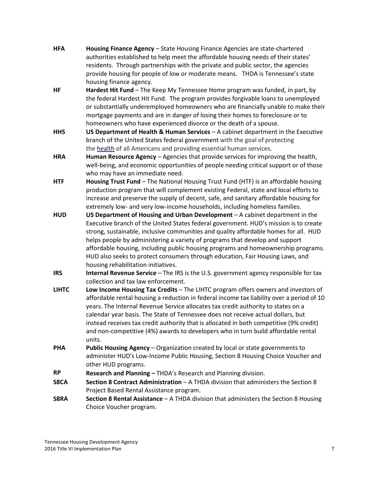| <b>HFA</b>   | Housing Finance Agency - State Housing Finance Agencies are state-chartered<br>authorities established to help meet the affordable housing needs of their states'<br>residents. Through partnerships with the private and public sector, the agencies<br>provide housing for people of low or moderate means. THDA is Tennessee's state<br>housing finance agency.                                                                                                                                                                                        |
|--------------|-----------------------------------------------------------------------------------------------------------------------------------------------------------------------------------------------------------------------------------------------------------------------------------------------------------------------------------------------------------------------------------------------------------------------------------------------------------------------------------------------------------------------------------------------------------|
| HF           | Hardest Hit Fund - The Keep My Tennessee Home program was funded, in part, by<br>the federal Hardest Hit Fund. The program provides forgivable loans to unemployed<br>or substantially underemployed homeowners who are financially unable to make their<br>mortgage payments and are in danger of losing their homes to foreclosure or to<br>homeowners who have experienced divorce or the death of a spouse.                                                                                                                                           |
| <b>HHS</b>   | US Department of Health & Human Services - A cabinet department in the Executive<br>branch of the United States federal government with the goal of protecting<br>the health of all Americans and providing essential human services.                                                                                                                                                                                                                                                                                                                     |
| <b>HRA</b>   | Human Resource Agency - Agencies that provide services for improving the health,<br>well-being, and economic opportunities of people needing critical support or of those<br>who may have an immediate need.                                                                                                                                                                                                                                                                                                                                              |
| <b>HTF</b>   | Housing Trust Fund - The National Housing Trust Fund (HTF) is an affordable housing<br>production program that will complement existing Federal, state and local efforts to<br>increase and preserve the supply of decent, safe, and sanitary affordable housing for<br>extremely low- and very low-income households, including homeless families.                                                                                                                                                                                                       |
| <b>HUD</b>   | US Department of Housing and Urban Development - A cabinet department in the<br>Executive branch of the United States federal government. HUD's mission is to create<br>strong, sustainable, inclusive communities and quality affordable homes for all. HUD<br>helps people by administering a variety of programs that develop and support<br>affordable housing, including public housing programs and homeownership programs.<br>HUD also seeks to protect consumers through education, Fair Housing Laws, and<br>housing rehabilitation initiatives. |
| <b>IRS</b>   | Internal Revenue Service - The IRS is the U.S. government agency responsible for tax<br>collection and tax law enforcement.                                                                                                                                                                                                                                                                                                                                                                                                                               |
| <b>LIHTC</b> | Low Income Housing Tax Credits - The LIHTC program offers owners and investors of<br>affordable rental housing a reduction in federal income tax liability over a period of 10<br>years. The Internal Revenue Service allocates tax credit authority to states on a<br>calendar year basis. The State of Tennessee does not receive actual dollars, but<br>instead receives tax credit authority that is allocated in both competitive (9% credit)<br>and non-competitive (4%) awards to developers who in turn build affordable rental<br>units.         |
| <b>PHA</b>   | Public Housing Agency - Organization created by local or state governments to<br>administer HUD's Low-Income Public Housing, Section 8 Housing Choice Voucher and<br>other HUD programs.                                                                                                                                                                                                                                                                                                                                                                  |
| <b>RP</b>    | Research and Planning - THDA's Research and Planning division.                                                                                                                                                                                                                                                                                                                                                                                                                                                                                            |
| S8CA         | Section 8 Contract Administration - A THDA division that administers the Section 8                                                                                                                                                                                                                                                                                                                                                                                                                                                                        |
|              | Project Based Rental Assistance program.                                                                                                                                                                                                                                                                                                                                                                                                                                                                                                                  |
| S8RA         | Section 8 Rental Assistance - A THDA division that administers the Section 8 Housing<br>Choice Voucher program.                                                                                                                                                                                                                                                                                                                                                                                                                                           |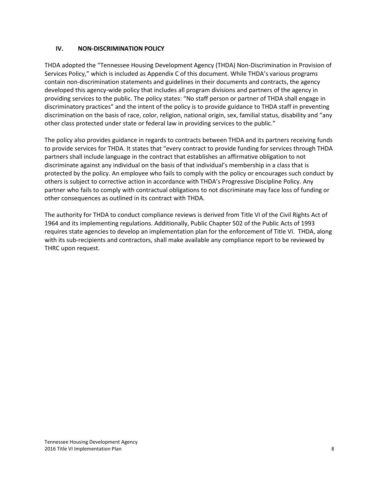### **IV. NON-DISCRIMINATION POLICY**

THDA adopted the "Tennessee Housing Development Agency (THDA) Non-Discrimination in Provision of Services Policy," which is included as Appendix C of this document. While THDA's various programs contain non-discrimination statements and guidelines in their documents and contracts, the agency developed this agency-wide policy that includes all program divisions and partners of the agency in providing services to the public. The policy states: "No staff person or partner of THDA shall engage in discriminatory practices" and the intent of the policy is to provide guidance to THDA staff in preventing discrimination on the basis of race, color, religion, national origin, sex, familial status, disability and "any other class protected under state or federal law in providing services to the public."

The policy also provides guidance in regards to contracts between THDA and its partners receiving funds to provide services for THDA. It states that "every contract to provide funding for services through THDA partners shall include language in the contract that establishes an affirmative obligation to not discriminate against any individual on the basis of that individual's membership in a class that is protected by the policy. An employee who fails to comply with the policy or encourages such conduct by others is subject to corrective action in accordance with THDA's Progressive Discipline Policy. Any partner who fails to comply with contractual obligations to not discriminate may face loss of funding or other consequences as outlined in its contract with THDA.

The authority for THDA to conduct compliance reviews is derived from Title VI of the Civil Rights Act of 1964 and its implementing regulations. Additionally, Public Chapter 502 of the Public Acts of 1993 requires state agencies to develop an implementation plan for the enforcement of Title VI. THDA, along with its sub-recipients and contractors, shall make available any compliance report to be reviewed by THRC upon request.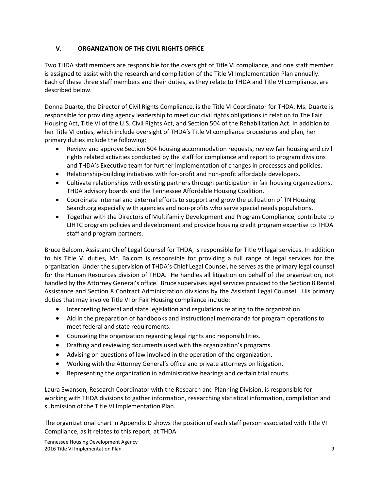# **V. ORGANIZATION OF THE CIVIL RIGHTS OFFICE**

Two THDA staff members are responsible for the oversight of Title VI compliance, and one staff member is assigned to assist with the research and compilation of the Title VI Implementation Plan annually. Each of these three staff members and their duties, as they relate to THDA and Title VI compliance, are described below.

Donna Duarte, the Director of Civil Rights Compliance, is the Title VI Coordinator for THDA. Ms. Duarte is responsible for providing agency leadership to meet our civil rights obligations in relation to The Fair Housing Act, Title VI of the U.S. Civil Rights Act, and Section 504 of the Rehabilitation Act. In addition to her Title VI duties, which include oversight of THDA's Title VI compliance procedures and plan, her primary duties include the following:

- Review and approve Section 504 housing accommodation requests, review fair housing and civil rights related activities conducted by the staff for compliance and report to program divisions and THDA's Executive team for further implementation of changes in processes and policies.
- Relationship-building initiatives with for-profit and non-profit affordable developers.
- Cultivate relationships with existing partners through participation in fair housing organizations, THDA advisory boards and the Tennessee Affordable Housing Coalition.
- Coordinate internal and external efforts to support and grow the utilization of TN Housing Search.org especially with agencies and non-profits who serve special needs populations.
- Together with the Directors of Multifamily Development and Program Compliance, contribute to LIHTC program policies and development and provide housing credit program expertise to THDA staff and program partners.

Bruce Balcom, Assistant Chief Legal Counsel for THDA, is responsible for Title VI legal services. In addition to his Title VI duties, Mr. Balcom is responsible for providing a full range of legal services for the organization. Under the supervision of THDA's Chief Legal Counsel, he serves as the primary legal counsel for the Human Resources division of THDA. He handles all litigation on behalf of the organization, not handled by the Attorney General's office. Bruce supervises legal services provided to the Section 8 Rental Assistance and Section 8 Contract Administration divisions by the Assistant Legal Counsel. His primary duties that may involve Title VI or Fair Housing compliance include:

- Interpreting federal and state legislation and regulations relating to the organization.
- Aid in the preparation of handbooks and instructional memoranda for program operations to meet federal and state requirements.
- Counseling the organization regarding legal rights and responsibilities.
- Drafting and reviewing documents used with the organization's programs.
- Advising on questions of law involved in the operation of the organization.
- Working with the Attorney General's office and private attorneys on litigation.
- Representing the organization in administrative hearings and certain trial courts.

Laura Swanson, Research Coordinator with the Research and Planning Division, is responsible for working with THDA divisions to gather information, researching statistical information, compilation and submission of the Title VI Implementation Plan.

The organizational chart in Appendix D shows the position of each staff person associated with Title VI Compliance, as it relates to this report, at THDA.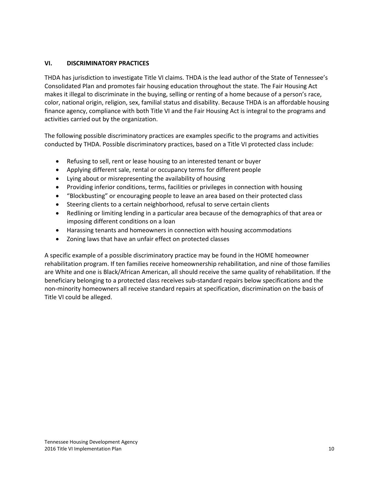## **VI. DISCRIMINATORY PRACTICES**

THDA has jurisdiction to investigate Title VI claims. THDA is the lead author of the State of Tennessee's Consolidated Plan and promotes fair housing education throughout the state. The Fair Housing Act makes it illegal to discriminate in the buying, selling or renting of a home because of a person's race, color, national origin, religion, sex, familial status and disability. Because THDA is an affordable housing finance agency, compliance with both Title VI and the Fair Housing Act is integral to the programs and activities carried out by the organization.

The following possible discriminatory practices are examples specific to the programs and activities conducted by THDA. Possible discriminatory practices, based on a Title VI protected class include:

- Refusing to sell, rent or lease housing to an interested tenant or buyer
- Applying different sale, rental or occupancy terms for different people
- Lying about or misrepresenting the availability of housing
- Providing inferior conditions, terms, facilities or privileges in connection with housing
- "Blockbusting" or encouraging people to leave an area based on their protected class
- Steering clients to a certain neighborhood, refusal to serve certain clients
- Redlining or limiting lending in a particular area because of the demographics of that area or imposing different conditions on a loan
- Harassing tenants and homeowners in connection with housing accommodations
- Zoning laws that have an unfair effect on protected classes

A specific example of a possible discriminatory practice may be found in the HOME homeowner rehabilitation program. If ten families receive homeownership rehabilitation, and nine of those families are White and one is Black/African American, all should receive the same quality of rehabilitation. If the beneficiary belonging to a protected class receives sub-standard repairs below specifications and the non-minority homeowners all receive standard repairs at specification, discrimination on the basis of Title VI could be alleged.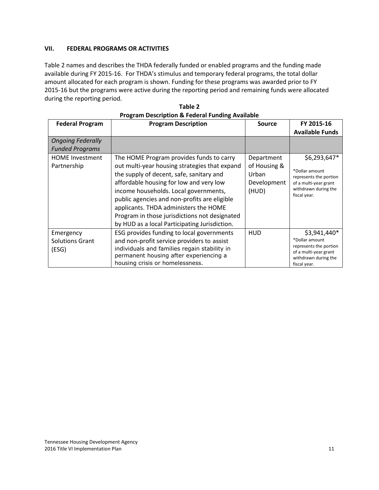## **VII. FEDERAL PROGRAMS OR ACTIVITIES**

Table 2 names and describes the THDA federally funded or enabled programs and the funding made available during FY 2015-16. For THDA's stimulus and temporary federal programs, the total dollar amount allocated for each program is shown. Funding for these programs was awarded prior to FY 2015-16 but the programs were active during the reporting period and remaining funds were allocated during the reporting period.

| <b>119 and Description &amp; Federal Funding Avanubic</b> |                                               |               |                                                 |  |  |
|-----------------------------------------------------------|-----------------------------------------------|---------------|-------------------------------------------------|--|--|
| <b>Federal Program</b>                                    | <b>Program Description</b>                    | <b>Source</b> | FY 2015-16                                      |  |  |
|                                                           |                                               |               | <b>Available Funds</b>                          |  |  |
| <b>Ongoing Federally</b>                                  |                                               |               |                                                 |  |  |
| <b>Funded Programs</b>                                    |                                               |               |                                                 |  |  |
| <b>HOME Investment</b>                                    | The HOME Program provides funds to carry      | Department    | \$6,293,647*                                    |  |  |
| Partnership                                               | out multi-year housing strategies that expand | of Housing &  |                                                 |  |  |
|                                                           | the supply of decent, safe, sanitary and      | Urban         | *Dollar amount<br>represents the portion        |  |  |
|                                                           | affordable housing for low and very low       | Development   | of a multi-year grant                           |  |  |
|                                                           | income households. Local governments,         | (HUD)         | withdrawn during the                            |  |  |
|                                                           | public agencies and non-profits are eligible  |               | fiscal year.                                    |  |  |
|                                                           | applicants. THDA administers the HOME         |               |                                                 |  |  |
|                                                           | Program in those jurisdictions not designated |               |                                                 |  |  |
|                                                           | by HUD as a local Participating Jurisdiction. |               |                                                 |  |  |
| Emergency                                                 | ESG provides funding to local governments     | <b>HUD</b>    | \$3,941,440*                                    |  |  |
| <b>Solutions Grant</b>                                    | and non-profit service providers to assist    |               | *Dollar amount                                  |  |  |
| (ESG)                                                     | individuals and families regain stability in  |               | represents the portion<br>of a multi-year grant |  |  |
|                                                           | permanent housing after experiencing a        |               | withdrawn during the                            |  |  |
|                                                           | housing crisis or homelessness.               |               | fiscal year.                                    |  |  |

| Table 2                                                    |
|------------------------------------------------------------|
| <b>Program Description &amp; Federal Funding Available</b> |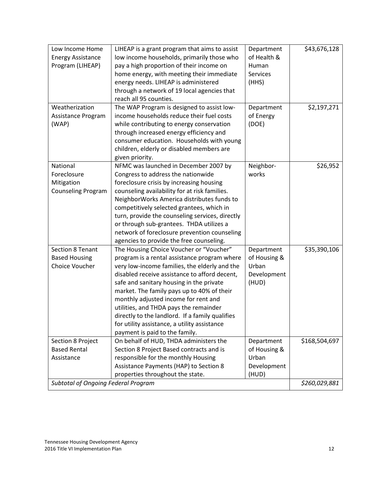| Low Income Home                     | LIHEAP is a grant program that aims to assist   | Department      | \$43,676,128  |
|-------------------------------------|-------------------------------------------------|-----------------|---------------|
| <b>Energy Assistance</b>            | low income households, primarily those who      | of Health &     |               |
| Program (LIHEAP)                    | pay a high proportion of their income on        | Human           |               |
|                                     | home energy, with meeting their immediate       | <b>Services</b> |               |
|                                     | energy needs. LIHEAP is administered            | (HHS)           |               |
|                                     | through a network of 19 local agencies that     |                 |               |
|                                     | reach all 95 counties.                          |                 |               |
| Weatherization                      | The WAP Program is designed to assist low-      | Department      | \$2,197,271   |
| Assistance Program                  | income households reduce their fuel costs       | of Energy       |               |
| (WAP)                               | while contributing to energy conservation       | (DOE)           |               |
|                                     | through increased energy efficiency and         |                 |               |
|                                     | consumer education. Households with young       |                 |               |
|                                     | children, elderly or disabled members are       |                 |               |
|                                     | given priority.                                 |                 |               |
| National                            | NFMC was launched in December 2007 by           | Neighbor-       | \$26,952      |
| Foreclosure                         | Congress to address the nationwide              | works           |               |
| Mitigation                          | foreclosure crisis by increasing housing        |                 |               |
| <b>Counseling Program</b>           | counseling availability for at risk families.   |                 |               |
|                                     | NeighborWorks America distributes funds to      |                 |               |
|                                     | competitively selected grantees, which in       |                 |               |
|                                     | turn, provide the counseling services, directly |                 |               |
|                                     | or through sub-grantees. THDA utilizes a        |                 |               |
|                                     | network of foreclosure prevention counseling    |                 |               |
|                                     | agencies to provide the free counseling.        |                 |               |
| <b>Section 8 Tenant</b>             | The Housing Choice Voucher or "Voucher"         | Department      | \$35,390,106  |
| <b>Based Housing</b>                | program is a rental assistance program where    | of Housing &    |               |
| Choice Voucher                      | very low-income families, the elderly and the   | Urban           |               |
|                                     | disabled receive assistance to afford decent,   | Development     |               |
|                                     | safe and sanitary housing in the private        | (HUD)           |               |
|                                     | market. The family pays up to 40% of their      |                 |               |
|                                     | monthly adjusted income for rent and            |                 |               |
|                                     | utilities, and THDA pays the remainder          |                 |               |
|                                     | directly to the landlord. If a family qualifies |                 |               |
|                                     | for utility assistance, a utility assistance    |                 |               |
|                                     | payment is paid to the family.                  |                 |               |
| Section 8 Project                   | On behalf of HUD, THDA administers the          | Department      | \$168,504,697 |
| <b>Based Rental</b>                 | Section 8 Project Based contracts and is        | of Housing &    |               |
| Assistance                          | responsible for the monthly Housing             | Urban           |               |
|                                     | Assistance Payments (HAP) to Section 8          | Development     |               |
|                                     | properties throughout the state.                | (HUD)           |               |
| Subtotal of Ongoing Federal Program |                                                 |                 | \$260,029,881 |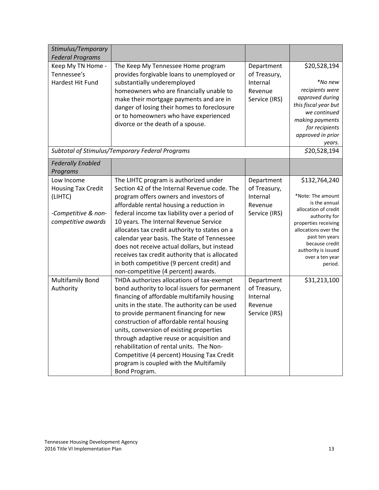| Stimulus/Temporary<br><b>Federal Programs</b>                                                   |                                                                                                                                                                                                                                                                                                                                                                                                                                                                                                                                                                |                                                                    |                                                                                                                                                                                                                                       |
|-------------------------------------------------------------------------------------------------|----------------------------------------------------------------------------------------------------------------------------------------------------------------------------------------------------------------------------------------------------------------------------------------------------------------------------------------------------------------------------------------------------------------------------------------------------------------------------------------------------------------------------------------------------------------|--------------------------------------------------------------------|---------------------------------------------------------------------------------------------------------------------------------------------------------------------------------------------------------------------------------------|
| Keep My TN Home -<br>Tennessee's<br>Hardest Hit Fund                                            | The Keep My Tennessee Home program<br>provides forgivable loans to unemployed or<br>substantially underemployed<br>homeowners who are financially unable to<br>make their mortgage payments and are in<br>danger of losing their homes to foreclosure<br>or to homeowners who have experienced<br>divorce or the death of a spouse.<br>Subtotal of Stimulus/Temporary Federal Programs                                                                                                                                                                         | Department<br>of Treasury,<br>Internal<br>Revenue<br>Service (IRS) | \$20,528,194<br>*No new<br>recipients were<br>approved during<br>this fiscal year but<br>we continued<br>making payments<br>for recipients<br>approved in prior<br>years.<br>\$20,528,194                                             |
| <b>Federally Enabled</b><br>Programs                                                            |                                                                                                                                                                                                                                                                                                                                                                                                                                                                                                                                                                |                                                                    |                                                                                                                                                                                                                                       |
| Low Income<br><b>Housing Tax Credit</b><br>(LIHTC)<br>-Competitive & non-<br>competitive awards | The LIHTC program is authorized under<br>Section 42 of the Internal Revenue code. The<br>program offers owners and investors of<br>affordable rental housing a reduction in<br>federal income tax liability over a period of<br>10 years. The Internal Revenue Service<br>allocates tax credit authority to states on a<br>calendar year basis. The State of Tennessee<br>does not receive actual dollars, but instead<br>receives tax credit authority that is allocated<br>in both competitive (9 percent credit) and<br>non-competitive (4 percent) awards. | Department<br>of Treasury,<br>Internal<br>Revenue<br>Service (IRS) | \$132,764,240<br>*Note: The amount<br>is the annual<br>allocation of credit<br>authority for<br>properties receiving<br>allocations over the<br>past ten years<br>because credit<br>authority is issued<br>over a ten year<br>period. |
| <b>Multifamily Bond</b><br>Authority                                                            | THDA authorizes allocations of tax-exempt<br>bond authority to local issuers for permanent<br>financing of affordable multifamily housing<br>units in the state. The authority can be used<br>to provide permanent financing for new<br>construction of affordable rental housing<br>units, conversion of existing properties<br>through adaptive reuse or acquisition and<br>rehabilitation of rental units. The Non-<br>Competitive (4 percent) Housing Tax Credit<br>program is coupled with the Multifamily<br>Bond Program.                               | Department<br>of Treasury,<br>Internal<br>Revenue<br>Service (IRS) | \$31,213,100                                                                                                                                                                                                                          |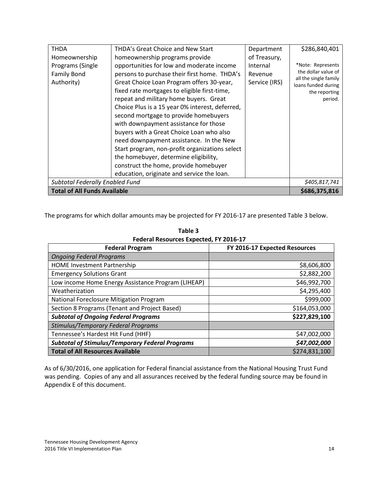| <b>THDA</b>                                          | THDA's Great Choice and New Start                                                                                                                                                                                                                                                                                                                                                                                                                                                                                                                                                                                                              | Department                           | \$286,840,401                                                                                                        |
|------------------------------------------------------|------------------------------------------------------------------------------------------------------------------------------------------------------------------------------------------------------------------------------------------------------------------------------------------------------------------------------------------------------------------------------------------------------------------------------------------------------------------------------------------------------------------------------------------------------------------------------------------------------------------------------------------------|--------------------------------------|----------------------------------------------------------------------------------------------------------------------|
| Homeownership                                        | homeownership programs provide                                                                                                                                                                                                                                                                                                                                                                                                                                                                                                                                                                                                                 | of Treasury,                         |                                                                                                                      |
| Programs (Single<br><b>Family Bond</b><br>Authority) | opportunities for low and moderate income<br>persons to purchase their first home. THDA's<br>Great Choice Loan Program offers 30-year,<br>fixed rate mortgages to eligible first-time,<br>repeat and military home buyers. Great<br>Choice Plus is a 15 year 0% interest, deferred,<br>second mortgage to provide homebuyers<br>with downpayment assistance for those<br>buyers with a Great Choice Loan who also<br>need downpayment assistance. In the New<br>Start program, non-profit organizations select<br>the homebuyer, determine eligibility,<br>construct the home, provide homebuyer<br>education, originate and service the loan. | Internal<br>Revenue<br>Service (IRS) | *Note: Represents<br>the dollar value of<br>all the single family<br>loans funded during<br>the reporting<br>period. |
| Subtotal Federally Enabled Fund                      |                                                                                                                                                                                                                                                                                                                                                                                                                                                                                                                                                                                                                                                |                                      | \$405,817,741                                                                                                        |
| <b>Total of All Funds Available</b>                  | \$686,375,816                                                                                                                                                                                                                                                                                                                                                                                                                                                                                                                                                                                                                                  |                                      |                                                                                                                      |

The programs for which dollar amounts may be projected for FY 2016-17 are presented Table 3 below.

| <b>Federal Resources Expected, FY 2016-17</b>          |                               |  |  |  |
|--------------------------------------------------------|-------------------------------|--|--|--|
| <b>Federal Program</b>                                 | FY 2016-17 Expected Resources |  |  |  |
| <b>Ongoing Federal Programs</b>                        |                               |  |  |  |
| <b>HOME Investment Partnership</b>                     | \$8,606,800                   |  |  |  |
| <b>Emergency Solutions Grant</b>                       | \$2,882,200                   |  |  |  |
| Low income Home Energy Assistance Program (LIHEAP)     | \$46,992,700                  |  |  |  |
| Weatherization                                         | \$4,295,400                   |  |  |  |
| National Foreclosure Mitigation Program                | \$999,000                     |  |  |  |
| Section 8 Programs (Tenant and Project Based)          | \$164,053,000                 |  |  |  |
| <b>Subtotal of Ongoing Federal Programs</b>            | \$227,829,100                 |  |  |  |
| <b>Stimulus/Temporary Federal Programs</b>             |                               |  |  |  |
| Tennessee's Hardest Hit Fund (HHF)                     | \$47,002,000                  |  |  |  |
| <b>Subtotal of Stimulus/Temporary Federal Programs</b> | \$47,002,000                  |  |  |  |
| <b>Total of All Resources Available</b>                | \$274,831,100                 |  |  |  |

**Table 3 Federal Resources Expected, FY 2016-17**

As of 6/30/2016, one application for Federal financial assistance from the National Housing Trust Fund was pending. Copies of any and all assurances received by the federal funding source may be found in Appendix E of this document.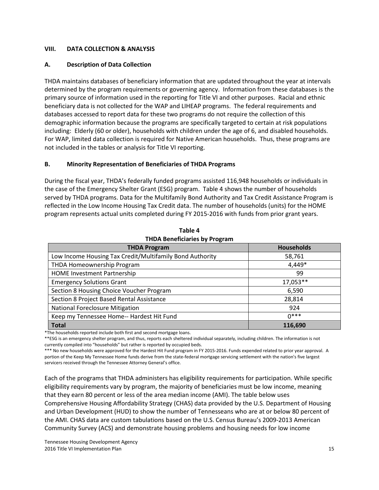#### **VIII. DATA COLLECTION & ANALYSIS**

#### **A. Description of Data Collection**

THDA maintains databases of beneficiary information that are updated throughout the year at intervals determined by the program requirements or governing agency. Information from these databases is the primary source of information used in the reporting for Title VI and other purposes. Racial and ethnic beneficiary data is not collected for the WAP and LIHEAP programs. The federal requirements and databases accessed to report data for these two programs do not require the collection of this demographic information because the programs are specifically targeted to certain at risk populations including: Elderly (60 or older), households with children under the age of 6, and disabled households. For WAP, limited data collection is required for Native American households. Thus, these programs are not included in the tables or analysis for Title VI reporting.

#### **B. Minority Representation of Beneficiaries of THDA Programs**

During the fiscal year, THDA's federally funded programs assisted 116,948 households or individuals in the case of the Emergency Shelter Grant (ESG) program. Table 4 shows the number of households served by THDA programs. Data for the Multifamily Bond Authority and Tax Credit Assistance Program is reflected in the Low Income Housing Tax Credit data. The number of households (units) for the HOME program represents actual units completed during FY 2015-2016 with funds from prior grant years.

| <b>THE PUTCHCHOLICS BY LIVELAND</b>                      |                   |  |  |  |
|----------------------------------------------------------|-------------------|--|--|--|
| <b>THDA Program</b>                                      | <b>Households</b> |  |  |  |
| Low Income Housing Tax Credit/Multifamily Bond Authority | 58,761            |  |  |  |
| THDA Homeownership Program                               | 4,449*            |  |  |  |
| <b>HOME Investment Partnership</b>                       | 99                |  |  |  |
| <b>Emergency Solutions Grant</b>                         | 17,053**          |  |  |  |
| Section 8 Housing Choice Voucher Program                 | 6,590             |  |  |  |
| Section 8 Project Based Rental Assistance                | 28,814            |  |  |  |
| <b>National Foreclosure Mitigation</b>                   | 924               |  |  |  |
| Keep my Tennessee Home-- Hardest Hit Fund                | $0***$            |  |  |  |
| <b>Total</b>                                             | 116,690           |  |  |  |

**Table 4 THDA Beneficiaries by Program**

\*The households reported include both first and second mortgage loans.

\*\*ESG is an emergency shelter program, and thus, reports each sheltered individual separately, including children. The information is not currently compiled into "households" but rather is reported by occupied beds.

\*\*\* No new households were approved for the Hardest Hit Fund program in FY 2015-2016. Funds expended related to prior year approval. A portion of the Keep My Tennessee Home funds derive from the state-federal mortgage servicing settlement with the nation's five largest servicers received through the Tennessee Attorney General's office.

Each of the programs that THDA administers has eligibility requirements for participation. While specific eligibility requirements vary by program, the majority of beneficiaries must be low income, meaning that they earn 80 percent or less of the area median income (AMI). The table below uses Comprehensive Housing Affordability Strategy (CHAS) data provided by the U.S. Department of Housing and Urban Development (HUD) to show the number of Tennesseans who are at or below 80 percent of the AMI. CHAS data are custom tabulations based on the U.S. Census Bureau's 2009-2013 American Community Survey (ACS) and demonstrate housing problems and housing needs for low income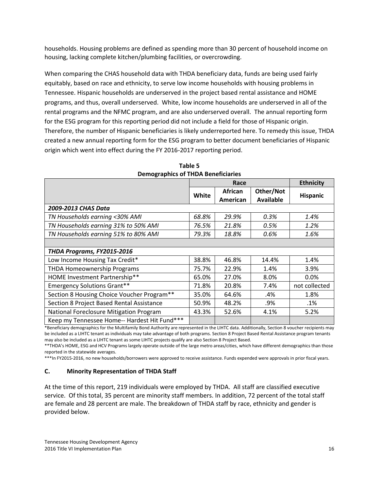households. Housing problems are defined as spending more than 30 percent of household income on housing, lacking complete kitchen/plumbing facilities, or overcrowding.

When comparing the CHAS household data with THDA beneficiary data, funds are being used fairly equitably, based on race and ethnicity, to serve low income households with housing problems in Tennessee. Hispanic households are underserved in the project based rental assistance and HOME programs, and thus, overall underserved. White, low income households are underserved in all of the rental programs and the NFMC program, and are also underserved overall. The annual reporting form for the ESG program for this reporting period did not include a field for those of Hispanic origin. Therefore, the number of Hispanic beneficiaries is likely underreported here. To remedy this issue, THDA created a new annual reporting form for the ESG program to better document beneficiaries of Hispanic origin which went into effect during the FY 2016-2017 reporting period.

|                                              | Demographies of The Denenciaties |                |                  |                  |  |  |
|----------------------------------------------|----------------------------------|----------------|------------------|------------------|--|--|
|                                              | Race                             |                |                  | <b>Ethnicity</b> |  |  |
|                                              | White                            | <b>African</b> | Other/Not        |                  |  |  |
|                                              |                                  | American       | <b>Available</b> | <b>Hispanic</b>  |  |  |
| 2009-2013 CHAS Data                          |                                  |                |                  |                  |  |  |
| TN Households earning <30% AMI               | 68.8%                            | 29.9%          | 0.3%             | 1.4%             |  |  |
| TN Households earning 31% to 50% AMI         | 76.5%                            | 21.8%          | 0.5%             | 1.2%             |  |  |
| TN Households earning 51% to 80% AMI         | 79.3%                            | 18.8%          | 0.6%             | 1.6%             |  |  |
|                                              |                                  |                |                  |                  |  |  |
| THDA Programs, FY2015-2016                   |                                  |                |                  |                  |  |  |
| Low Income Housing Tax Credit*               | 38.8%                            | 46.8%          | 14.4%            | 1.4%             |  |  |
| <b>THDA Homeownership Programs</b>           | 75.7%                            | 22.9%          | 1.4%             | 3.9%             |  |  |
| HOME Investment Partnership**                | 65.0%                            | 27.0%          | 8.0%             | 0.0%             |  |  |
| <b>Emergency Solutions Grant**</b>           | 71.8%                            | 20.8%          | 7.4%             | not collected    |  |  |
| Section 8 Housing Choice Voucher Program**   | 35.0%                            | 64.6%          | .4%              | 1.8%             |  |  |
| Section 8 Project Based Rental Assistance    | 50.9%                            | 48.2%          | .9%              | .1%              |  |  |
| National Foreclosure Mitigation Program      |                                  | 52.6%          | 4.1%             | 5.2%             |  |  |
| Keep my Tennessee Home-- Hardest Hit Fund*** |                                  |                |                  |                  |  |  |

**Table 5 Demographics of THDA Beneficiaries**

\*Beneficiary demographics for the Multifamily Bond Authority are represented in the LIHTC data. Additionally, Section 8 voucher recipients may be included as a LIHTC tenant as individuals may take advantage of both programs. Section 8 Project Based Rental Assistance program tenants may also be included as a LIHTC tenant as some LIHTC projects qualify are also Section 8 Project Based.

\*\*THDA's HOME, ESG and HCV Programs largely operate outside of the large metro areas/cities, which have different demographics than those reported in the statewide averages.

\*\*\*In FY2015-2016, no new households/borrowers were approved to receive assistance. Funds expended were approvals in prior fiscal years.

#### **C. Minority Representation of THDA Staff**

At the time of this report, 219 individuals were employed by THDA. All staff are classified executive service. Of this total, 35 percent are minority staff members. In addition, 72 percent of the total staff are female and 28 percent are male. The breakdown of THDA staff by race, ethnicity and gender is provided below.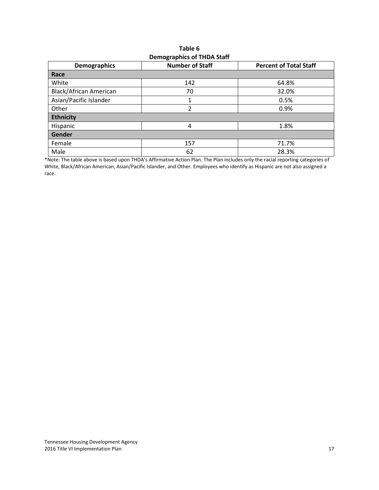| <b>Demographics</b>           | <b>Number of Staff</b> | <b>Percent of Total Staff</b> |  |  |  |
|-------------------------------|------------------------|-------------------------------|--|--|--|
| Race                          |                        |                               |  |  |  |
| White                         | 142                    | 64.8%                         |  |  |  |
| <b>Black/African American</b> | 70                     | 32.0%                         |  |  |  |
| Asian/Pacific Islander        |                        | 0.5%                          |  |  |  |
| Other                         | 2                      | 0.9%                          |  |  |  |
| <b>Ethnicity</b>              |                        |                               |  |  |  |
| Hispanic                      | 4                      | 1.8%                          |  |  |  |
| Gender                        |                        |                               |  |  |  |
| Female                        | 157                    | 71.7%                         |  |  |  |
| Male                          | 62                     | 28.3%                         |  |  |  |

# **Table 6 Demographics of THDA Staff**

\*Note: The table above is based upon THDA's Affirmative Action Plan. The Plan includes only the racial reporting categories of White, Black/African American, Asian/Pacific Islander, and Other. Employees who identify as Hispanic are not also assigned a race.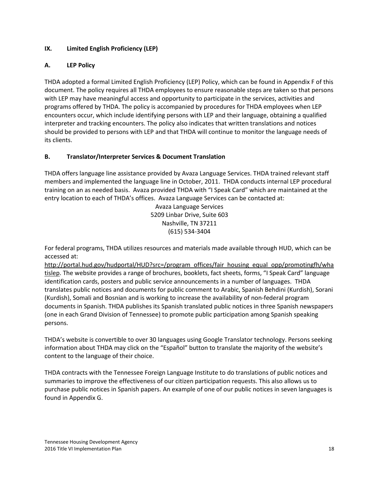# **IX. Limited English Proficiency (LEP)**

# **A. LEP Policy**

THDA adopted a formal Limited English Proficiency (LEP) Policy, which can be found in Appendix F of this document. The policy requires all THDA employees to ensure reasonable steps are taken so that persons with LEP may have meaningful access and opportunity to participate in the services, activities and programs offered by THDA. The policy is accompanied by procedures for THDA employees when LEP encounters occur, which include identifying persons with LEP and their language, obtaining a qualified interpreter and tracking encounters. The policy also indicates that written translations and notices should be provided to persons with LEP and that THDA will continue to monitor the language needs of its clients.

# **B. Translator/Interpreter Services & Document Translation**

THDA offers language line assistance provided by Avaza Language Services. THDA trained relevant staff members and implemented the language line in October, 2011. THDA conducts internal LEP procedural training on an as needed basis. Avaza provided THDA with "I Speak Card" which are maintained at the entry location to each of THDA's offices. Avaza Language Services can be contacted at:

> Avaza Language Services 5209 Linbar Drive, Suite 603 Nashville, TN 37211 (615) 534-3404

For federal programs, THDA utilizes resources and materials made available through HUD, which can be accessed at:

http://portal.hud.gov/hudportal/HUD?src=/program\_offices/fair\_housing\_equal\_opp/promotingfh/wha tislep. The website provides a range of brochures, booklets, fact sheets, forms, "I Speak Card" language identification cards, posters and public service announcements in a number of languages. THDA translates public notices and documents for public comment to Arabic, Spanish Behdini (Kurdish), Sorani (Kurdish), Somali and Bosnian and is working to increase the availability of non-federal program documents in Spanish. THDA publishes its Spanish translated public notices in three Spanish newspapers (one in each Grand Division of Tennessee) to promote public participation among Spanish speaking persons.

THDA's website is convertible to over 30 languages using Google Translator technology. Persons seeking information about THDA may click on the "Español" button to translate the majority of the website's content to the language of their choice.

THDA contracts with the Tennessee Foreign Language Institute to do translations of public notices and summaries to improve the effectiveness of our citizen participation requests. This also allows us to purchase public notices in Spanish papers. An example of one of our public notices in seven languages is found in Appendix G.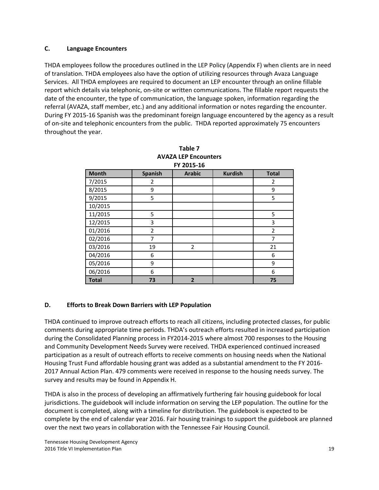#### **C. Language Encounters**

THDA employees follow the procedures outlined in the LEP Policy (Appendix F) when clients are in need of translation. THDA employees also have the option of utilizing resources through Avaza Language Services. All THDA employees are required to document an LEP encounter through an online fillable report which details via telephonic, on-site or written communications. The fillable report requests the date of the encounter, the type of communication, the language spoken, information regarding the referral (AVAZA, staff member, etc.) and any additional information or notes regarding the encounter. During FY 2015-16 Spanish was the predominant foreign language encountered by the agency as a result of on-site and telephonic encounters from the public. THDA reported approximately 75 encounters throughout the year.

| LI TATI-TO   |                |                |                |                |  |
|--------------|----------------|----------------|----------------|----------------|--|
| <b>Month</b> | <b>Spanish</b> | <b>Arabic</b>  | <b>Kurdish</b> | <b>Total</b>   |  |
| 7/2015       | 2              |                |                | 2              |  |
| 8/2015       | 9              |                |                | 9              |  |
| 9/2015       | 5              |                |                | 5              |  |
| 10/2015      |                |                |                |                |  |
| 11/2015      | 5              |                |                | 5              |  |
| 12/2015      | 3              |                |                | 3              |  |
| 01/2016      | $\overline{2}$ |                |                | $\overline{2}$ |  |
| 02/2016      | 7              |                |                | 7              |  |
| 03/2016      | 19             | $\overline{2}$ |                | 21             |  |
| 04/2016      | 6              |                |                | 6              |  |
| 05/2016      | 9              |                |                | 9              |  |
| 06/2016      | 6              |                |                | 6              |  |
| <b>Total</b> | 73             | $\overline{2}$ |                | 75             |  |

#### **Table 7 AVAZA LEP Encounters FY 2015-16**

# **D. Efforts to Break Down Barriers with LEP Population**

THDA continued to improve outreach efforts to reach all citizens, including protected classes, for public comments during appropriate time periods. THDA's outreach efforts resulted in increased participation during the Consolidated Planning process in FY2014-2015 where almost 700 responses to the Housing and Community Development Needs Survey were received. THDA experienced continued increased participation as a result of outreach efforts to receive comments on housing needs when the National Housing Trust Fund affordable housing grant was added as a substantial amendment to the FY 2016- 2017 Annual Action Plan. 479 comments were received in response to the housing needs survey. The survey and results may be found in Appendix H.

THDA is also in the process of developing an affirmatively furthering fair housing guidebook for local jurisdictions. The guidebook will include information on serving the LEP population. The outline for the document is completed, along with a timeline for distribution. The guidebook is expected to be complete by the end of calendar year 2016. Fair housing trainings to support the guidebook are planned over the next two years in collaboration with the Tennessee Fair Housing Council.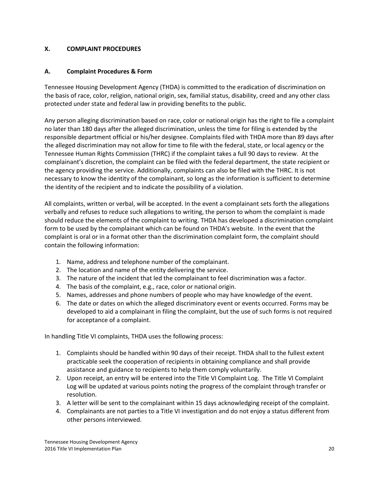# **X. COMPLAINT PROCEDURES**

### **A. Complaint Procedures & Form**

Tennessee Housing Development Agency (THDA) is committed to the eradication of discrimination on the basis of race, color, religion, national origin, sex, familial status, disability, creed and any other class protected under state and federal law in providing benefits to the public.

Any person alleging discrimination based on race, color or national origin has the right to file a complaint no later than 180 days after the alleged discrimination, unless the time for filing is extended by the responsible department official or his/her designee. Complaints filed with THDA more than 89 days after the alleged discrimination may not allow for time to file with the federal, state, or local agency or the Tennessee Human Rights Commission (THRC) if the complaint takes a full 90 days to review. At the complainant's discretion, the complaint can be filed with the federal department, the state recipient or the agency providing the service. Additionally, complaints can also be filed with the THRC. It is not necessary to know the identity of the complainant, so long as the information is sufficient to determine the identity of the recipient and to indicate the possibility of a violation.

All complaints, written or verbal, will be accepted. In the event a complainant sets forth the allegations verbally and refuses to reduce such allegations to writing, the person to whom the complaint is made should reduce the elements of the complaint to writing. THDA has developed a discrimination complaint form to be used by the complainant which can be found on THDA's website. In the event that the complaint is oral or in a format other than the discrimination complaint form, the complaint should contain the following information:

- 1. Name, address and telephone number of the complainant.
- 2. The location and name of the entity delivering the service.
- 3. The nature of the incident that led the complainant to feel discrimination was a factor.
- 4. The basis of the complaint, e.g., race, color or national origin.
- 5. Names, addresses and phone numbers of people who may have knowledge of the event.
- 6. The date or dates on which the alleged discriminatory event or events occurred. Forms may be developed to aid a complainant in filing the complaint, but the use of such forms is not required for acceptance of a complaint.

In handling Title VI complaints, THDA uses the following process:

- 1. Complaints should be handled within 90 days of their receipt. THDA shall to the fullest extent practicable seek the cooperation of recipients in obtaining compliance and shall provide assistance and guidance to recipients to help them comply voluntarily.
- 2. Upon receipt, an entry will be entered into the Title VI Complaint Log. The Title VI Complaint Log will be updated at various points noting the progress of the complaint through transfer or resolution.
- 3. A letter will be sent to the complainant within 15 days acknowledging receipt of the complaint.
- 4. Complainants are not parties to a Title VI investigation and do not enjoy a status different from other persons interviewed.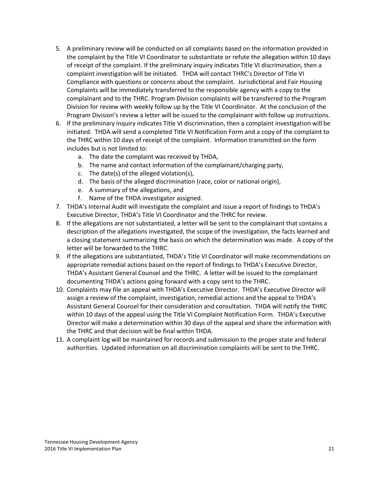- 5. A preliminary review will be conducted on all complaints based on the information provided in the complaint by the Title VI Coordinator to substantiate or refute the allegation within 10 days of receipt of the complaint. If the preliminary inquiry indicates Title VI discrimination, then a complaint investigation will be initiated. THDA will contact THRC's Director of Title VI Compliance with questions or concerns about the complaint. Jurisdictional and Fair Housing Complaints will be immediately transferred to the responsible agency with a copy to the complainant and to the THRC. Program Division complaints will be transferred to the Program Division for review with weekly follow up by the Title VI Coordinator. At the conclusion of the Program Division's review a letter will be issued to the complainant with follow up instructions.
- 6. If the preliminary inquiry indicates Title VI discrimination, then a complaint investigation will be initiated. THDA will send a completed Title VI Notification Form and a copy of the complaint to the THRC within 10 days of receipt of the complaint. Information transmitted on the form includes but is not limited to:
	- a. The date the complaint was received by THDA,
	- b. The name and contact information of the complainant/charging party,
	- c. The date(s) of the alleged violation(s),
	- d. The basis of the alleged discrimination (race, color or national origin),
	- e. A summary of the allegations, and
	- f. Name of the THDA investigator assigned.
- 7. THDA's Internal Audit will investigate the complaint and issue a report of findings to THDA's Executive Director, THDA's Title VI Coordinator and the THRC for review.
- 8. If the allegations are not substantiated, a letter will be sent to the complainant that contains a description of the allegations investigated, the scope of the investigation, the facts learned and a closing statement summarizing the basis on which the determination was made. A copy of the letter will be forwarded to the THRC.
- 9. If the allegations are substantiated, THDA's Title VI Coordinator will make recommendations on appropriate remedial actions based on the report of findings to THDA's Executive Director, THDA's Assistant General Counsel and the THRC. A letter will be issued to the complainant documenting THDA's actions going forward with a copy sent to the THRC.
- 10. Complaints may file an appeal with THDA's Executive Director. THDA's Executive Director will assign a review of the complaint, investigation, remedial actions and the appeal to THDA's Assistant General Counsel for their consideration and consultation. THDA will notify the THRC within 10 days of the appeal using the Title VI Complaint Notification Form. THDA's Executive Director will make a determination within 30 days of the appeal and share the information with the THRC and that decision will be final within THDA.
- 11. A complaint log will be maintained for records and submission to the proper state and federal authorities. Updated information on all discrimination complaints will be sent to the THRC.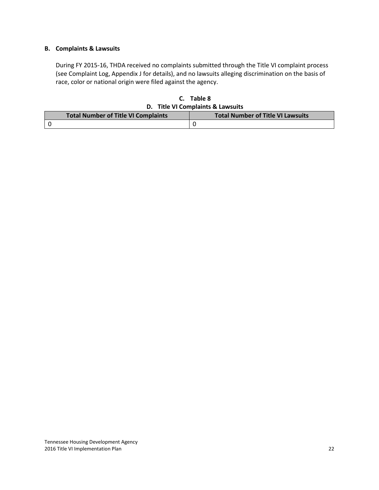#### **B. Complaints & Lawsuits**

During FY 2015-16, THDA received no complaints submitted through the Title VI complaint process (see Complaint Log, Appendix J for details), and no lawsuits alleging discrimination on the basis of race, color or national origin were filed against the agency.

| C. Table 8                        |
|-----------------------------------|
| D. Title VI Complaints & Lawsuits |
|                                   |

| Total Number of Title VI Complaints | <b>Total Number of Title VI Lawsuits</b> |  |  |  |  |
|-------------------------------------|------------------------------------------|--|--|--|--|
|                                     |                                          |  |  |  |  |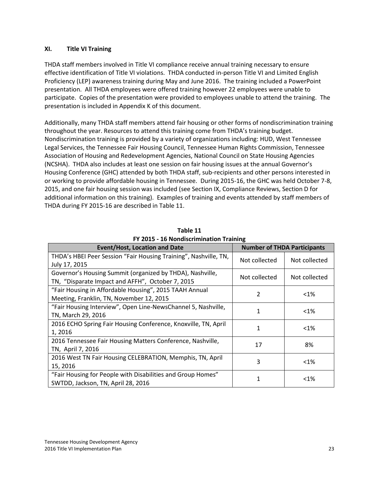#### **XI. Title VI Training**

THDA staff members involved in Title VI compliance receive annual training necessary to ensure effective identification of Title VI violations. THDA conducted in-person Title VI and Limited English Proficiency (LEP) awareness training during May and June 2016. The training included a PowerPoint presentation. All THDA employees were offered training however 22 employees were unable to participate. Copies of the presentation were provided to employees unable to attend the training. The presentation is included in Appendix K of this document.

Additionally, many THDA staff members attend fair housing or other forms of nondiscrimination training throughout the year. Resources to attend this training come from THDA's training budget. Nondiscrimination training is provided by a variety of organizations including: HUD, West Tennessee Legal Services, the Tennessee Fair Housing Council, Tennessee Human Rights Commission, Tennessee Association of Housing and Redevelopment Agencies, National Council on State Housing Agencies (NCSHA). THDA also includes at least one session on fair housing issues at the annual Governor's Housing Conference (GHC) attended by both THDA staff, sub-recipients and other persons interested in or working to provide affordable housing in Tennessee. During 2015-16, the GHC was held October 7-8, 2015, and one fair housing session was included (see Section IX, Compliance Reviews, Section D for additional information on this training). Examples of training and events attended by staff members of THDA during FY 2015-16 are described in Table 11.

| <b>Event/Host, Location and Date</b>                                                                          | <b>Number of THDA Participants</b> |               |
|---------------------------------------------------------------------------------------------------------------|------------------------------------|---------------|
| THDA's HBEI Peer Session "Fair Housing Training", Nashville, TN,<br>July 17, 2015                             | Not collected                      | Not collected |
| Governor's Housing Summit (organized by THDA), Nashville,<br>TN, "Disparate Impact and AFFH", October 7, 2015 | Not collected                      | Not collected |
| "Fair Housing in Affordable Housing", 2015 TAAH Annual<br>Meeting, Franklin, TN, November 12, 2015            | 2                                  | $< 1\%$       |
| "Fair Housing Interview", Open Line-NewsChannel 5, Nashville,<br>TN, March 29, 2016                           | 1                                  | $< 1\%$       |
| 2016 ECHO Spring Fair Housing Conference, Knoxville, TN, April<br>1,2016                                      |                                    | $< 1\%$       |
| 2016 Tennessee Fair Housing Matters Conference, Nashville,<br>TN, April 7, 2016                               | 17                                 | 8%            |
| 2016 West TN Fair Housing CELEBRATION, Memphis, TN, April<br>15, 2016                                         | 3                                  | $< 1\%$       |
| "Fair Housing for People with Disabilities and Group Homes"<br>SWTDD, Jackson, TN, April 28, 2016             |                                    | $< 1\%$       |

**Table 11 FY 2015 - 16 Nondiscrimination Training**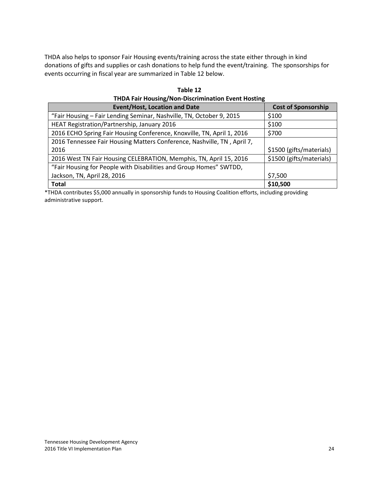THDA also helps to sponsor Fair Housing events/training across the state either through in kind donations of gifts and supplies or cash donations to help fund the event/training. The sponsorships for events occurring in fiscal year are summarized in Table 12 below.

| <b>THDA Fair Housing/Non-Discrimination Event Hosting</b>               |                            |  |  |  |  |  |  |
|-------------------------------------------------------------------------|----------------------------|--|--|--|--|--|--|
| <b>Event/Host, Location and Date</b>                                    | <b>Cost of Sponsorship</b> |  |  |  |  |  |  |
| "Fair Housing - Fair Lending Seminar, Nashville, TN, October 9, 2015    | \$100                      |  |  |  |  |  |  |
| HEAT Registration/Partnership, January 2016                             | \$100                      |  |  |  |  |  |  |
| 2016 ECHO Spring Fair Housing Conference, Knoxville, TN, April 1, 2016  | \$700                      |  |  |  |  |  |  |
| 2016 Tennessee Fair Housing Matters Conference, Nashville, TN, April 7, |                            |  |  |  |  |  |  |
| 2016                                                                    | \$1500 (gifts/materials)   |  |  |  |  |  |  |
| 2016 West TN Fair Housing CELEBRATION, Memphis, TN, April 15, 2016      | \$1500 (gifts/materials)   |  |  |  |  |  |  |
| "Fair Housing for People with Disabilities and Group Homes" SWTDD,      |                            |  |  |  |  |  |  |
| Jackson, TN, April 28, 2016                                             | \$7,500                    |  |  |  |  |  |  |
| <b>Total</b>                                                            | \$10,500                   |  |  |  |  |  |  |

| Table 12                                                  |
|-----------------------------------------------------------|
| <b>THDA Fair Housing/Non-Discrimination Event Hosting</b> |

\*THDA contributes \$5,000 annually in sponsorship funds to Housing Coalition efforts, including providing administrative support.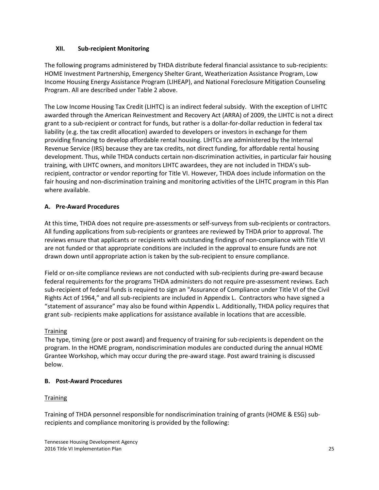#### **XII. Sub-recipient Monitoring**

The following programs administered by THDA distribute federal financial assistance to sub-recipients: HOME Investment Partnership, Emergency Shelter Grant, Weatherization Assistance Program, Low Income Housing Energy Assistance Program (LIHEAP), and National Foreclosure Mitigation Counseling Program. All are described under Table 2 above.

The Low Income Housing Tax Credit (LIHTC) is an indirect federal subsidy. With the exception of LIHTC awarded through the American Reinvestment and Recovery Act (ARRA) of 2009, the LIHTC is not a direct grant to a sub-recipient or contract for funds, but rather is a dollar-for-dollar reduction in federal tax liability (e.g. the tax credit allocation) awarded to developers or investors in exchange for them providing financing to develop affordable rental housing. LIHTCs are administered by the Internal Revenue Service (IRS) because they are tax credits, not direct funding, for affordable rental housing development. Thus, while THDA conducts certain non-discrimination activities, in particular fair housing training, with LIHTC owners, and monitors LIHTC awardees, they are not included in THDA's subrecipient, contractor or vendor reporting for Title VI. However, THDA does include information on the fair housing and non-discrimination training and monitoring activities of the LIHTC program in this Plan where available.

### **A. Pre-Award Procedures**

At this time, THDA does not require pre-assessments or self-surveys from sub-recipients or contractors. All funding applications from sub-recipients or grantees are reviewed by THDA prior to approval. The reviews ensure that applicants or recipients with outstanding findings of non-compliance with Title VI are not funded or that appropriate conditions are included in the approval to ensure funds are not drawn down until appropriate action is taken by the sub-recipient to ensure compliance.

Field or on-site compliance reviews are not conducted with sub-recipients during pre-award because federal requirements for the programs THDA administers do not require pre-assessment reviews. Each sub-recipient of federal funds is required to sign an "Assurance of Compliance under Title VI of the Civil Rights Act of 1964," and all sub-recipients are included in Appendix L. Contractors who have signed a "statement of assurance" may also be found within Appendix L. Additionally, THDA policy requires that grant sub- recipients make applications for assistance available in locations that are accessible.

# **Training**

The type, timing (pre or post award) and frequency of training for sub-recipients is dependent on the program. In the HOME program, nondiscrimination modules are conducted during the annual HOME Grantee Workshop, which may occur during the pre-award stage. Post award training is discussed below.

# **B. Post-Award Procedures**

# **Training**

Training of THDA personnel responsible for nondiscrimination training of grants (HOME & ESG) subrecipients and compliance monitoring is provided by the following: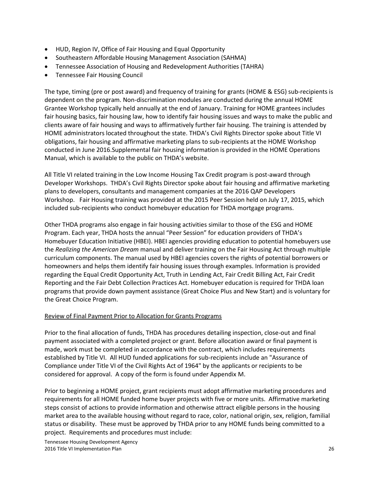- HUD, Region IV, Office of Fair Housing and Equal Opportunity
- Southeastern Affordable Housing Management Association (SAHMA)
- Tennessee Association of Housing and Redevelopment Authorities (TAHRA)
- **•** Tennessee Fair Housing Council

The type, timing (pre or post award) and frequency of training for grants (HOME & ESG) sub-recipients is dependent on the program. Non-discrimination modules are conducted during the annual HOME Grantee Workshop typically held annually at the end of January. Training for HOME grantees includes fair housing basics, fair housing law, how to identify fair housing issues and ways to make the public and clients aware of fair housing and ways to affirmatively further fair housing. The training is attended by HOME administrators located throughout the state. THDA's Civil Rights Director spoke about Title VI obligations, fair housing and affirmative marketing plans to sub-recipients at the HOME Workshop conducted in June 2016.Supplemental fair housing information is provided in the HOME Operations Manual, which is available to the public on THDA's website.

All Title VI related training in the Low Income Housing Tax Credit program is post-award through Developer Workshops. THDA's Civil Rights Director spoke about fair housing and affirmative marketing plans to developers, consultants and management companies at the 2016 QAP Developers Workshop. Fair Housing training was provided at the 2015 Peer Session held on July 17, 2015, which included sub-recipients who conduct homebuyer education for THDA mortgage programs.

Other THDA programs also engage in fair housing activities similar to those of the ESG and HOME Program. Each year, THDA hosts the annual "Peer Session" for education providers of THDA's Homebuyer Education Initiative (HBEI). HBEI agencies providing education to potential homebuyers use the *Realizing the American Dream* manual and deliver training on the Fair Housing Act through multiple curriculum components. The manual used by HBEI agencies covers the rights of potential borrowers or homeowners and helps them identify fair housing issues through examples. Information is provided regarding the Equal Credit Opportunity Act, Truth in Lending Act, Fair Credit Billing Act, Fair Credit Reporting and the Fair Debt Collection Practices Act. Homebuyer education is required for THDA loan programs that provide down payment assistance (Great Choice Plus and New Start) and is voluntary for the Great Choice Program.

#### Review of Final Payment Prior to Allocation for Grants Programs

Prior to the final allocation of funds, THDA has procedures detailing inspection, close-out and final payment associated with a completed project or grant. Before allocation award or final payment is made, work must be completed in accordance with the contract, which includes requirements established by Title VI. All HUD funded applications for sub-recipients include an "Assurance of Compliance under Title VI of the Civil Rights Act of 1964" by the applicants or recipients to be considered for approval. A copy of the form is found under Appendix M.

Prior to beginning a HOME project, grant recipients must adopt affirmative marketing procedures and requirements for all HOME funded home buyer projects with five or more units. Affirmative marketing steps consist of actions to provide information and otherwise attract eligible persons in the housing market area to the available housing without regard to race, color, national origin, sex, religion, familial status or disability. These must be approved by THDA prior to any HOME funds being committed to a project. Requirements and procedures must include: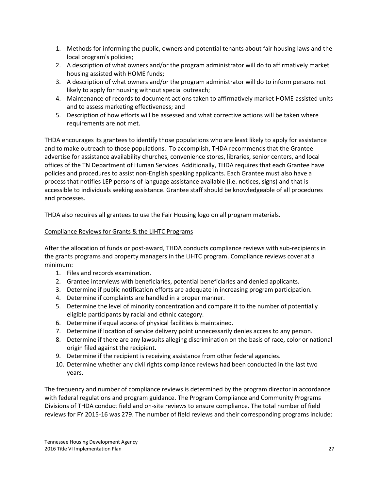- 1. Methods for informing the public, owners and potential tenants about fair housing laws and the local program's policies;
- 2. A description of what owners and/or the program administrator will do to affirmatively market housing assisted with HOME funds;
- 3. A description of what owners and/or the program administrator will do to inform persons not likely to apply for housing without special outreach;
- 4. Maintenance of records to document actions taken to affirmatively market HOME-assisted units and to assess marketing effectiveness; and
- 5. Description of how efforts will be assessed and what corrective actions will be taken where requirements are not met.

THDA encourages its grantees to identify those populations who are least likely to apply for assistance and to make outreach to those populations. To accomplish, THDA recommends that the Grantee advertise for assistance availability churches, convenience stores, libraries, senior centers, and local offices of the TN Department of Human Services. Additionally, THDA requires that each Grantee have policies and procedures to assist non-English speaking applicants. Each Grantee must also have a process that notifies LEP persons of language assistance available (i.e. notices, signs) and that is accessible to individuals seeking assistance. Grantee staff should be knowledgeable of all procedures and processes.

THDA also requires all grantees to use the Fair Housing logo on all program materials.

#### Compliance Reviews for Grants & the LIHTC Programs

After the allocation of funds or post-award, THDA conducts compliance reviews with sub-recipients in the grants programs and property managers in the LIHTC program. Compliance reviews cover at a minimum:

- 1. Files and records examination.
- 2. Grantee interviews with beneficiaries, potential beneficiaries and denied applicants.
- 3. Determine if public notification efforts are adequate in increasing program participation.
- 4. Determine if complaints are handled in a proper manner.
- 5. Determine the level of minority concentration and compare it to the number of potentially eligible participants by racial and ethnic category.
- 6. Determine if equal access of physical facilities is maintained.
- 7. Determine if location of service delivery point unnecessarily denies access to any person.
- 8. Determine if there are any lawsuits alleging discrimination on the basis of race, color or national origin filed against the recipient.
- 9. Determine if the recipient is receiving assistance from other federal agencies.
- 10. Determine whether any civil rights compliance reviews had been conducted in the last two years.

The frequency and number of compliance reviews is determined by the program director in accordance with federal regulations and program guidance. The Program Compliance and Community Programs Divisions of THDA conduct field and on-site reviews to ensure compliance. The total number of field reviews for FY 2015-16 was 279. The number of field reviews and their corresponding programs include: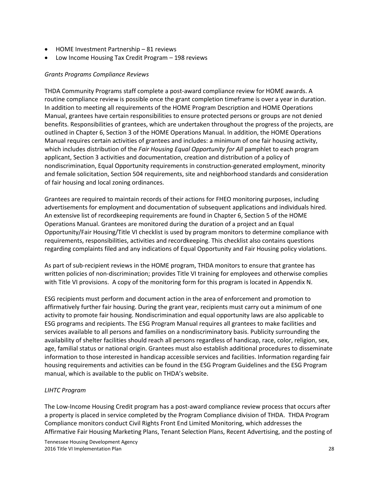- HOME Investment Partnership 81 reviews
- Low Income Housing Tax Credit Program 198 reviews

#### *Grants Programs Compliance Reviews*

THDA Community Programs staff complete a post-award compliance review for HOME awards. A routine compliance review is possible once the grant completion timeframe is over a year in duration. In addition to meeting all requirements of the HOME Program Description and HOME Operations Manual, grantees have certain responsibilities to ensure protected persons or groups are not denied benefits. Responsibilities of grantees, which are undertaken throughout the progress of the projects, are outlined in Chapter 6, Section 3 of the HOME Operations Manual. In addition, the HOME Operations Manual requires certain activities of grantees and includes: a minimum of one fair housing activity, which includes distribution of the *Fair Housing Equal Opportunity for All* pamphlet to each program applicant, Section 3 activities and documentation, creation and distribution of a policy of nondiscrimination, Equal Opportunity requirements in construction-generated employment, minority and female solicitation, Section 504 requirements, site and neighborhood standards and consideration of fair housing and local zoning ordinances.

Grantees are required to maintain records of their actions for FHEO monitoring purposes, including advertisements for employment and documentation of subsequent applications and individuals hired. An extensive list of recordkeeping requirements are found in Chapter 6, Section 5 of the HOME Operations Manual. Grantees are monitored during the duration of a project and an Equal Opportunity/Fair Housing/Title VI checklist is used by program monitors to determine compliance with requirements, responsibilities, activities and recordkeeping. This checklist also contains questions regarding complaints filed and any indications of Equal Opportunity and Fair Housing policy violations.

As part of sub-recipient reviews in the HOME program, THDA monitors to ensure that grantee has written policies of non-discrimination; provides Title VI training for employees and otherwise complies with Title VI provisions. A copy of the monitoring form for this program is located in Appendix N.

ESG recipients must perform and document action in the area of enforcement and promotion to affirmatively further fair housing. During the grant year, recipients must carry out a minimum of one activity to promote fair housing. Nondiscrimination and equal opportunity laws are also applicable to ESG programs and recipients. The ESG Program Manual requires all grantees to make facilities and services available to all persons and families on a nondiscriminatory basis. Publicity surrounding the availability of shelter facilities should reach all persons regardless of handicap, race, color, religion, sex, age, familial status or national origin. Grantees must also establish additional procedures to disseminate information to those interested in handicap accessible services and facilities. Information regarding fair housing requirements and activities can be found in the ESG Program Guidelines and the ESG Program manual, which is available to the public on THDA's website.

#### *LIHTC Program*

The Low-Income Housing Credit program has a post-award compliance review process that occurs after a property is placed in service completed by the Program Compliance division of THDA. THDA Program Compliance monitors conduct Civil Rights Front End Limited Monitoring, which addresses the Affirmative Fair Housing Marketing Plans, Tenant Selection Plans, Recent Advertising, and the posting of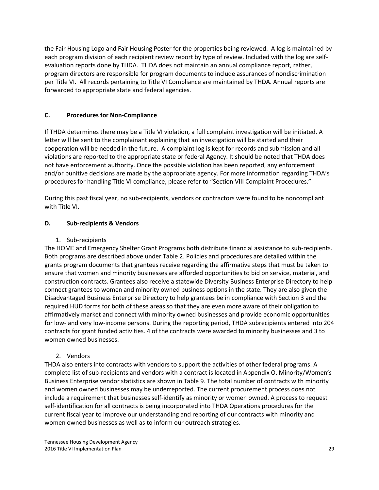the Fair Housing Logo and Fair Housing Poster for the properties being reviewed. A log is maintained by each program division of each recipient review report by type of review. Included with the log are selfevaluation reports done by THDA. THDA does not maintain an annual compliance report, rather, program directors are responsible for program documents to include assurances of nondiscrimination per Title VI. All records pertaining to Title VI Compliance are maintained by THDA. Annual reports are forwarded to appropriate state and federal agencies.

### **C. Procedures for Non-Compliance**

If THDA determines there may be a Title VI violation, a full complaint investigation will be initiated. A letter will be sent to the complainant explaining that an investigation will be started and their cooperation will be needed in the future. A complaint log is kept for records and submission and all violations are reported to the appropriate state or federal Agency. It should be noted that THDA does not have enforcement authority. Once the possible violation has been reported, any enforcement and/or punitive decisions are made by the appropriate agency. For more information regarding THDA's procedures for handling Title VI compliance, please refer to "Section VIII Complaint Procedures."

During this past fiscal year, no sub-recipients, vendors or contractors were found to be noncompliant with Title VI.

### **D. Sub-recipients & Vendors**

### 1. Sub-recipients

The HOME and Emergency Shelter Grant Programs both distribute financial assistance to sub-recipients. Both programs are described above under Table 2. Policies and procedures are detailed within the grants program documents that grantees receive regarding the affirmative steps that must be taken to ensure that women and minority businesses are afforded opportunities to bid on service, material, and construction contracts. Grantees also receive a statewide Diversity Business Enterprise Directory to help connect grantees to women and minority owned business options in the state. They are also given the Disadvantaged Business Enterprise Directory to help grantees be in compliance with Section 3 and the required HUD forms for both of these areas so that they are even more aware of their obligation to affirmatively market and connect with minority owned businesses and provide economic opportunities for low- and very low-income persons. During the reporting period, THDA subrecipients entered into 204 contracts for grant funded activities. 4 of the contracts were awarded to minority businesses and 3 to women owned businesses.

#### 2. Vendors

THDA also enters into contracts with vendors to support the activities of other federal programs. A complete list of sub-recipients and vendors with a contract is located in Appendix O. Minority/Women's Business Enterprise vendor statistics are shown in Table 9. The total number of contracts with minority and women owned businesses may be underreported. The current procurement process does not include a requirement that businesses self-identify as minority or women owned. A process to request self-identification for all contracts is being incorporated into THDA Operations procedures for the current fiscal year to improve our understanding and reporting of our contracts with minority and women owned businesses as well as to inform our outreach strategies.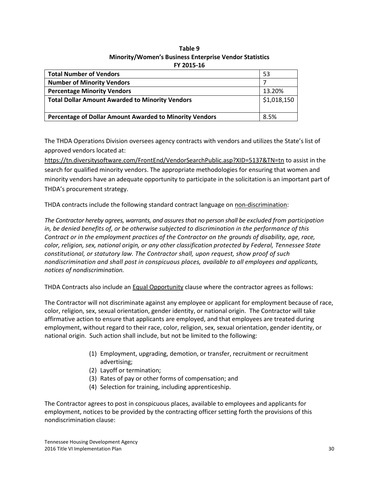| <b>Minority/Women's Business Enterprise Vendor Statistics</b><br>FY 2015-16 |             |
|-----------------------------------------------------------------------------|-------------|
|                                                                             |             |
| <b>Total Number of Vendors</b>                                              | -53         |
| <b>Number of Minority Vendors</b>                                           |             |
| <b>Percentage Minority Vendors</b>                                          | 13.20%      |
| <b>Total Dollar Amount Awarded to Minority Vendors</b>                      | \$1,018,150 |

# **Table 9**

The THDA Operations Division oversees agency contracts with vendors and utilizes the State's list of approved vendors located at:

<https://tn.diversitysoftware.com/FrontEnd/VendorSearchPublic.asp?XID=5137&TN=tn> to assist in the search for qualified minority vendors. The appropriate methodologies for ensuring that women and minority vendors have an adequate opportunity to participate in the solicitation is an important part of THDA's procurement strategy.

THDA contracts include the following standard contract language on non-discrimination:

**Percentage of Dollar Amount Awarded to Minority Vendors** 8.5%

*The Contractor hereby agrees, warrants, and assures that no person shall be excluded from participation in, be denied benefits of, or be otherwise subjected to discrimination in the performance of this Contract or in the employment practices of the Contractor on the grounds of disability, age, race, color, religion, sex, national origin, or any other classification protected by Federal, Tennessee State constitutional, or statutory law. The Contractor shall, upon request, show proof of such nondiscrimination and shall post in conspicuous places, available to all employees and applicants, notices of nondiscrimination.*

THDA Contracts also include an Equal Opportunity clause where the contractor agrees as follows:

The Contractor will not discriminate against any employee or applicant for employment because of race, color, religion, sex, sexual orientation, gender identity, or national origin. The Contractor will take affirmative action to ensure that applicants are employed, and that employees are treated during employment, without regard to their race, color, religion, sex, sexual orientation, gender identity, or national origin. Such action shall include, but not be limited to the following:

- (1) Employment, upgrading, demotion, or transfer, recruitment or recruitment advertising;
- (2) Layoff or termination;
- (3) Rates of pay or other forms of compensation; and
- (4) Selection for training, including apprenticeship.

The Contractor agrees to post in conspicuous places, available to employees and applicants for employment, notices to be provided by the contracting officer setting forth the provisions of this nondiscrimination clause: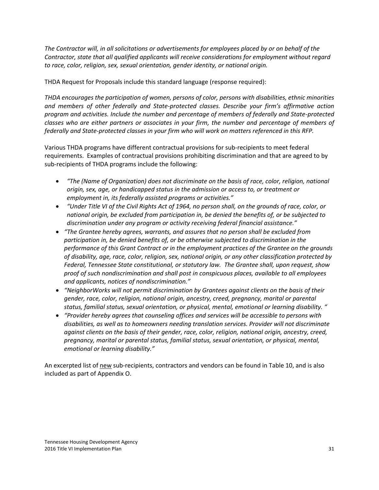*The Contractor will, in all solicitations or advertisements for employees placed by or on behalf of the Contractor, state that all qualified applicants will receive considerations for employment without regard to race, color, religion, sex, sexual orientation, gender identity, or national origin.*

THDA Request for Proposals include this standard language (response required):

*THDA encourages the participation of women, persons of color, persons with disabilities, ethnic minorities and members of other federally and State-protected classes. Describe your firm's affirmative action program and activities. Include the number and percentage of members of federally and State-protected classes who are either partners or associates in your firm, the number and percentage of members of federally and State-protected classes in your firm who will work on matters referenced in this RFP.*

Various THDA programs have different contractual provisions for sub-recipients to meet federal requirements. Examples of contractual provisions prohibiting discrimination and that are agreed to by sub-recipients of THDA programs include the following:

- *"The (Name of Organization) does not discriminate on the basis of race, color, religion, national origin, sex, age, or handicapped status in the admission or access to, or treatment or employment in, its federally assisted programs or activities."*
- *"Under Title VI of the Civil Rights Act of 1964, no person shall, on the grounds of race, color, or national origin, be excluded from participation in, be denied the benefits of, or be subjected to discrimination under any program or activity receiving federal financial assistance."*
- *"The Grantee hereby agrees, warrants, and assures that no person shall be excluded from participation in, be denied benefits of, or be otherwise subjected to discrimination in the performance of this Grant Contract or in the employment practices of the Grantee on the grounds of disability, age, race, color, religion, sex, national origin, or any other classification protected by Federal, Tennessee State constitutional, or statutory law. The Grantee shall, upon request, show proof of such nondiscrimination and shall post in conspicuous places, available to all employees and applicants, notices of nondiscrimination."*
- *"NeighborWorks will not permit discrimination by Grantees against clients on the basis of their gender, race, color, religion, national origin, ancestry, creed, pregnancy, marital or parental status, familial status, sexual orientation, or physical, mental, emotional or learning disability. "*
- *"Provider hereby agrees that counseling offices and services will be accessible to persons with disabilities, as well as to homeowners needing translation services. Provider will not discriminate against clients on the basis of their gender, race, color, religion, national origin, ancestry, creed, pregnancy, marital or parental status, familial status, sexual orientation, or physical, mental, emotional or learning disability."*

An excerpted list of new sub-recipients, contractors and vendors can be found in Table 10, and is also included as part of Appendix O.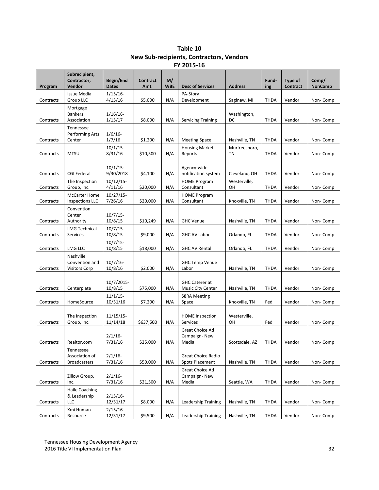| Table 10                                 |
|------------------------------------------|
| New Sub-recipients, Contractors, Vendors |
| FY 2015-16                               |

| Program   | Subrecipient,<br>Contractor,<br>Vendor              | Begin/End<br><b>Dates</b> | Contract<br>Amt. | M/<br><b>WBE</b> | <b>Desc of Services</b>                           | <b>Address</b>      | Fund-<br>ing | Type of<br><b>Contract</b> | Comp/<br><b>NonComp</b> |
|-----------|-----------------------------------------------------|---------------------------|------------------|------------------|---------------------------------------------------|---------------------|--------------|----------------------------|-------------------------|
|           | <b>Issue Media</b>                                  | 1/15/16                   |                  |                  | PA-Story                                          |                     |              |                            |                         |
| Contracts | Group LLC                                           | 4/15/16                   | \$5,000          | N/A              | Development                                       | Saginaw, MI         | <b>THDA</b>  | Vendor                     | Non-Comp                |
| Contracts | Mortgage<br><b>Bankers</b><br>Association           | 1/16/16<br>1/15/17        | \$8,000          | N/A              | <b>Servicing Training</b>                         | Washington,<br>DC   | <b>THDA</b>  | Vendor                     | Non-Comp                |
| Contracts | Tennessee<br><b>Performing Arts</b><br>Center       | 1/6/16<br>1/7/16          | \$1,200          | N/A              | <b>Meeting Space</b>                              | Nashville, TN       | <b>THDA</b>  | Vendor                     | Non-Comp                |
| Contracts | <b>MTSU</b>                                         | $10/1/15$ -<br>8/31/16    | \$10,500         | N/A              | <b>Housing Market</b><br>Reports                  | Murfreesboro,<br>TN | <b>THDA</b>  | Vendor                     | Non-Comp                |
| Contracts | CGI Federal                                         | $10/1/15$ -<br>9/30/2018  | \$4,100          | N/A              | Agency-wide<br>notification system                | Cleveland, OH       | <b>THDA</b>  | Vendor                     | Non-Comp                |
|           | The Inspection                                      | $10/12/15$ -              |                  |                  | <b>HOME Program</b>                               | Westerville,        |              |                            |                         |
| Contracts | Group, Inc.                                         | 4/11/16                   | \$20,000         | N/A              | Consultant                                        | OН                  | <b>THDA</b>  | Vendor                     | Non-Comp                |
| Contracts | <b>McCarter Home</b><br><b>Inspections LLC</b>      | $10/27/15$ -<br>7/26/16   | \$20,000         | N/A              | <b>HOME Program</b><br>Consultant                 | Knoxville, TN       | <b>THDA</b>  | Vendor                     | Non-Comp                |
| Contracts | Convention<br>Center<br>Authority                   | $10/7/15$ -<br>10/8/15    | \$10,249         | N/A              | <b>GHC Venue</b>                                  | Nashville, TN       | <b>THDA</b>  | Vendor                     | Non-Comp                |
| Contracts | <b>LMG Technical</b><br>Services                    | $10/7/15$ -<br>10/8/15    | \$9,000          | N/A              | <b>GHC AV Labor</b>                               | Orlando, FL         | <b>THDA</b>  | Vendor                     | Non-Comp                |
| Contracts | LMG LLC                                             | $10/7/15$ -<br>10/8/15    | \$18,000         | N/A              | <b>GHC AV Rental</b>                              | Orlando, FL         | <b>THDA</b>  | Vendor                     | Non-Comp                |
| Contracts | Nashville<br>Convention and<br><b>Visitors Corp</b> | $10/7/16$ -<br>10/8/16    | \$2,000          | N/A              | <b>GHC Temp Venue</b><br>Labor                    | Nashville, TN       | <b>THDA</b>  | Vendor                     | Non-Comp                |
| Contracts | Centerplate                                         | 10/7/2015-<br>10/8/15     | \$75,000         | N/A              | <b>GHC Caterer at</b><br><b>Music City Center</b> | Nashville, TN       | <b>THDA</b>  | Vendor                     | Non-Comp                |
| Contracts | HomeSource                                          | $11/1/15$ -<br>10/31/16   | \$7,200          | N/A              | <b>S8RA Meeting</b><br>Space                      | Knoxville, TN       | Fed          | Vendor                     | Non-Comp                |
| Contracts | The Inspection<br>Group, Inc.                       | $11/15/15$ -<br>11/14/18  | \$637,500        | N/A              | <b>HOME Inspection</b><br><b>Services</b>         | Westerville,<br>OН  | Fed          | Vendor                     | Non-Comp                |
| Contracts | Realtor.com                                         | $2/1/16$ -<br>7/31/16     | \$25,000         | N/A              | Great Choice Ad<br>Campaign-New<br>Media          | Scottsdale, AZ      | <b>THDA</b>  | Vendor                     | Non-Comp                |
| Contracts | Tennessee<br>Association of<br><b>Broadcasters</b>  | $2/1/16$ -<br>7/31/16     | \$50,000         | N/A              | Great Choice Radio<br><b>Spots Placement</b>      | Nashville, TN       | <b>THDA</b>  | Vendor                     | Non-Comp                |
| Contracts | Zillow Group,<br>Inc.                               | $2/1/16$ -<br>7/31/16     | \$21,500         | N/A              | Great Choice Ad<br>Campaign-New<br>Media          | Seattle, WA         | <b>THDA</b>  | Vendor                     | Non-Comp                |
| Contracts | <b>Haile Coaching</b><br>& Leadership<br>LLC        | $2/15/16$ -<br>12/31/17   | \$8,000          | N/A              | Leadership Training                               | Nashville, TN       | THDA         | Vendor                     | Non-Comp                |
| Contracts | Xmi Human<br>Resource                               | 2/15/16<br>12/31/17       | \$9,500          | N/A              | Leadership Training                               | Nashville, TN       | <b>THDA</b>  | Vendor                     | Non-Comp                |

Tennessee Housing Development Agency 2016 Title VI Implementation Plan 32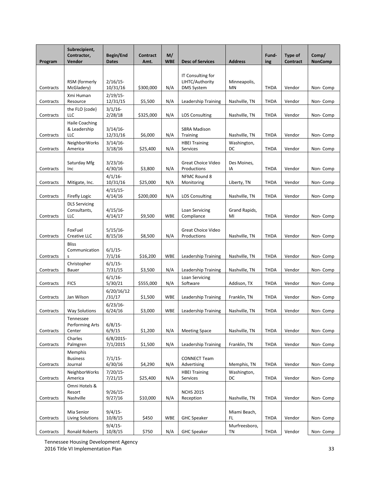| Program   | Subrecipient,<br>Contractor,<br>Vendor | Begin/End<br><b>Dates</b> | Contract<br>Amt. | M/<br><b>WBE</b> | <b>Desc of Services</b>              | <b>Address</b>       | Fund-<br>ing | Type of<br>Contract | Comp/<br>NonComp |
|-----------|----------------------------------------|---------------------------|------------------|------------------|--------------------------------------|----------------------|--------------|---------------------|------------------|
|           |                                        |                           |                  |                  |                                      |                      |              |                     |                  |
|           | RSM (formerly                          | $2/16/15$ -               |                  |                  | IT Consulting for<br>LIHTC/Authority | Minneapolis,         |              |                     |                  |
| Contracts | McGladery)                             | 10/31/16                  | \$300,000        | N/A              | <b>DMS System</b>                    | ΜN                   | THDA         | Vendor              | Non-Comp         |
| Contracts | Xmi Human<br>Resource                  | $2/19/15$ -<br>12/31/15   | \$5,500          | N/A              | Leadership Training                  | Nashville, TN        | THDA         | Vendor              | Non-Comp         |
| Contracts | the FLO {code}<br><b>LLC</b>           | $3/1/16$ -<br>2/28/18     | \$325,000        | N/A              | <b>LOS Consulting</b>                | Nashville, TN        | THDA         | Vendor              | Non-Comp         |
|           | Haile Coaching                         |                           |                  |                  | <b>S8RA Madison</b>                  |                      |              |                     |                  |
| Contracts | & Leadership<br><b>LLC</b>             | 3/14/16<br>12/31/16       | \$6,000          | N/A              | <b>Training</b>                      | Nashville, TN        | <b>THDA</b>  | Vendor              | Non-Comp         |
|           | <b>NeighborWorks</b>                   | 3/14/16                   |                  |                  | <b>HBEI Training</b>                 | Washington,          |              |                     |                  |
| Contracts | America                                | 3/18/16                   | \$25,400         | N/A              | Services                             | DC                   | <b>THDA</b>  | Vendor              | Non-Comp         |
|           | Saturday Mfg                           | 3/23/16                   |                  |                  | <b>Great Choice Video</b>            | Des Moines,          |              |                     |                  |
| Contracts | Inc                                    | 4/30/16                   | \$3,800          | N/A              | Productions                          | IA                   | <b>THDA</b>  | Vendor              | Non-Comp         |
|           |                                        | $4/1/16$ -<br>10/31/16    |                  |                  | NFMC Round 8                         |                      |              |                     | Non-Comp         |
| Contracts | Mitigate, Inc.                         | $4/15/15$ -               | \$25,000         | N/A              | Monitoring                           | Liberty, TN          | THDA         | Vendor              |                  |
| Contracts | <b>Firefly Logic</b>                   | 4/14/16                   | \$200,000        | N/A              | <b>LOS Consulting</b>                | Nashville, TN        | THDA         | Vendor              | Non-Comp         |
|           | <b>DLS Servicing</b>                   |                           |                  |                  |                                      |                      |              |                     |                  |
| Contracts | Consultants,<br>LLC                    | $4/15/16$ -<br>4/14/17    | \$9,500          | <b>WBE</b>       | Loan Servicing<br>Compliance         | Grand Rapids,<br>MI  | THDA         | Vendor              | Non-Comp         |
|           |                                        |                           |                  |                  |                                      |                      |              |                     |                  |
|           | FoxFuel                                | 5/15/16                   |                  |                  | <b>Great Choice Video</b>            |                      |              |                     |                  |
| Contracts | Creative LLC<br><b>Bliss</b>           | 8/15/16                   | \$8,500          | N/A              | Productions                          | Nashville, TN        | <b>THDA</b>  | Vendor              | Non-Comp         |
| Contracts | Communication<br>s                     | $6/1/15$ -<br>7/1/16      | \$16,200         | WBE              | Leadership Training                  | Nashville, TN        | <b>THDA</b>  | Vendor              | Non-Comp         |
| Contracts | Christopher<br>Bauer                   | $6/1/15$ -<br>7/31/15     | \$3,500          | N/A              | Leadership Training                  | Nashville, TN        | THDA         | Vendor              | Non-Comp         |
|           |                                        | $6/1/16$ -                |                  |                  | Loan Servicing                       |                      |              |                     |                  |
| Contracts | <b>FICS</b>                            | 5/30/21<br>6/20/16/12     | \$555,000        | N/A              | Software                             | Addison, TX          | THDA         | Vendor              | Non-Comp         |
| Contracts | Jan Wilson                             | /31/17                    | \$1,500          | <b>WBE</b>       | <b>Leadership Training</b>           | Franklin, TN         | THDA         | Vendor              | Non-Comp         |
| Contracts | <b>Way Solutions</b>                   | $6/23/16$ -<br>6/24/16    | \$3,000          | <b>WBE</b>       | Leadership Training                  | Nashville, TN        | THDA         | Vendor              | Non-Comp         |
|           | Tennessee                              |                           |                  |                  |                                      |                      |              |                     |                  |
| Contracts | <b>Performing Arts</b><br>Center       | $6/8/15 -$<br>6/9/15      | \$1,200          | N/A              | <b>Meeting Space</b>                 | Nashville, TN        | THDA         | Vendor              | Non-Comp         |
|           | Charles                                | $6/8/2015$ -              |                  |                  |                                      |                      |              |                     |                  |
| Contracts | Palmgren                               | 7/1/2015                  | \$1,500          | N/A              | <b>Leadership Training</b>           | Franklin, TN         | <b>THDA</b>  | Vendor              | Non-Comp         |
|           | Memphis<br><b>Business</b>             | $7/1/15$ -                |                  |                  | <b>CONNECT Team</b>                  |                      |              |                     |                  |
| Contracts | Journal                                | 6/30/16                   | \$4,290          | N/A              | Advertising                          | Memphis, TN          | <b>THDA</b>  | Vendor              | Non-Comp         |
| Contracts | <b>NeighborWorks</b><br>America        | $7/20/15$ -<br>7/21/15    | \$25,400         | N/A              | <b>HBEI Training</b><br>Services     | Washington,<br>DC    | <b>THDA</b>  | Vendor              | Non-Comp         |
|           | Omni Hotels &                          |                           |                  |                  |                                      |                      |              |                     |                  |
| Contracts | Resort<br>Nashville                    | $9/26/15$ -<br>9/27/16    | \$10,000         | N/A              | <b>NCHS 2015</b><br>Reception        | Nashville, TN        | THDA         | Vendor              | Non-Comp         |
|           |                                        |                           |                  |                  |                                      |                      |              |                     |                  |
|           | Mia Senior                             | $9/4/15$ -                |                  |                  |                                      | Miami Beach,         |              |                     |                  |
| Contracts | <b>Living Solutions</b>                | 10/8/15<br>$9/4/15$ -     | \$450            | WBE              | <b>GHC Speaker</b>                   | FL.<br>Murfreesboro, | <b>THDA</b>  | Vendor              | Non-Comp         |
| Contracts | Ronald Roberts                         | 10/8/15                   | \$750            | N/A              | <b>GHC Speaker</b>                   | ΤN                   | <b>THDA</b>  | Vendor              | Non-Comp         |

Tennessee Housing Development Agency 2016 Title VI Implementation Plan 33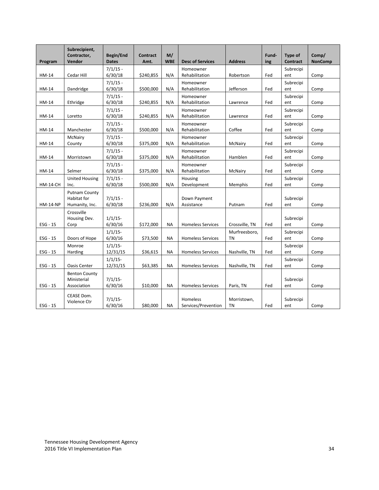| Program         | Subrecipient,<br>Contractor,<br>Vendor                | Begin/End<br><b>Dates</b> | Contract<br>Amt. | M/<br><b>WBE</b> | <b>Desc of Services</b>         | <b>Address</b>      | Fund-<br>ing | Type of<br><b>Contract</b> | Comp/<br><b>NonComp</b> |
|-----------------|-------------------------------------------------------|---------------------------|------------------|------------------|---------------------------------|---------------------|--------------|----------------------------|-------------------------|
| HM-14           | Cedar Hill                                            | $7/1/15 -$<br>6/30/18     | \$240,855        | N/A              | Homeowner<br>Rehabilitation     | Robertson           | Fed          | Subrecipi<br>ent           | Comp                    |
| HM-14           | Dandridge                                             | $7/1/15 -$<br>6/30/18     | \$500,000        | N/A              | Homeowner<br>Rehabilitation     | Jefferson           | Fed          | Subrecipi<br>ent           | Comp                    |
| HM-14           | Ethridge                                              | $7/1/15 -$<br>6/30/18     | \$240,855        | N/A              | Homeowner<br>Rehabilitation     | Lawrence            | Fed          | Subrecipi<br>ent           | Comp                    |
| HM-14           | Loretto                                               | $7/1/15 -$<br>6/30/18     | \$240,855        | N/A              | Homeowner<br>Rehabilitation     | Lawrence            | Fed          | Subrecipi<br>ent           | Comp                    |
| HM-14           | Manchester                                            | $7/1/15 -$<br>6/30/18     | \$500,000        | N/A              | Homeowner<br>Rehabilitation     | Coffee              | Fed          | Subrecipi<br>ent           | Comp                    |
| HM-14           | McNairy<br>County                                     | $7/1/15 -$<br>6/30/18     | \$375,000        | N/A              | Homeowner<br>Rehabilitation     | McNairy             | Fed          | Subrecipi<br>ent           | Comp                    |
| HM-14           | Morristown                                            | $7/1/15 -$<br>6/30/18     | \$375,000        | N/A              | Homeowner<br>Rehabilitation     | Hamblen             | Fed          | Subrecipi<br>ent           | Comp                    |
| HM-14           | Selmer                                                | $7/1/15 -$<br>6/30/18     | \$375,000        | N/A              | Homeowner<br>Rehabilitation     | McNairy             | Fed          | Subrecipi<br>ent           | Comp                    |
| <b>HM-14-CH</b> | <b>United Housing</b><br>Inc.                         | $7/1/15 -$<br>6/30/18     | \$500,000        | N/A              | Housing<br>Development          | Memphis             | Fed          | Subrecipi<br>ent           | Comp                    |
| <b>HM-14-NP</b> | <b>Putnam County</b><br>Habitat for<br>Humanity, Inc. | $7/1/15 -$<br>6/30/18     | \$236,000        | N/A              | Down Payment<br>Assistance      | Putnam              | Fed          | Subrecipi<br>ent           | Comp                    |
| ESG - 15        | Crossville<br>Housing Dev.<br>Corp                    | $1/1/15$ -<br>6/30/16     | \$172,000        | <b>NA</b>        | <b>Homeless Services</b>        | Crossville, TN      | Fed          | Subrecipi<br>ent           | Comp                    |
| ESG - 15        | Doors of Hope                                         | $1/1/15$ -<br>6/30/16     | \$73,500         | <b>NA</b>        | <b>Homeless Services</b>        | Murfreesboro,<br>TN | Fed          | Subrecipi<br>ent           | Comp                    |
| ESG - 15        | Monroe<br>Harding                                     | $1/1/15$ -<br>12/31/15    | \$36,615         | <b>NA</b>        | <b>Homeless Services</b>        | Nashville, TN       | Fed          | Subrecipi<br>ent           | Comp                    |
| ESG - 15        | Oasis Center                                          | $1/1/15$ -<br>12/31/15    | \$63,385         | <b>NA</b>        | <b>Homeless Services</b>        | Nashville, TN       | Fed          | Subrecipi<br>ent           | Comp                    |
| ESG - 15        | <b>Benton County</b><br>Ministerial<br>Association    | $7/1/15$ -<br>6/30/16     | \$10,000         | <b>NA</b>        | <b>Homeless Services</b>        | Paris, TN           | Fed          | Subrecipi<br>ent           | Comp                    |
| $ESG - 15$      | CEASE Dom.<br>Violence Ctr                            | $7/1/15$ -<br>6/30/16     | \$80,000         | <b>NA</b>        | Homeless<br>Services/Prevention | Morristown,<br>TN   | Fed          | Subrecipi<br>ent           | Comp                    |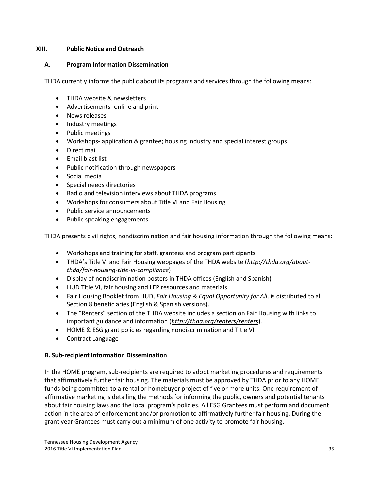#### **XIII. Public Notice and Outreach**

### **A. Program Information Dissemination**

THDA currently informs the public about its programs and services through the following means:

- THDA website & newsletters
- Advertisements- online and print
- News releases
- Industry meetings
- Public meetings
- Workshops- application & grantee; housing industry and special interest groups
- Direct mail
- $\bullet$  Fmail blast list
- Public notification through newspapers
- **•** Social media
- Special needs directories
- Radio and television interviews about THDA programs
- Workshops for consumers about Title VI and Fair Housing
- Public service announcements
- Public speaking engagements

THDA presents civil rights, nondiscrimination and fair housing information through the following means:

- Workshops and training for staff, grantees and program participants
- THDA's Title VI and Fair Housing webpages of the THDA website (*http://thda.org/aboutthda/fair-housing-title-vi-compliance*)
- Display of nondiscrimination posters in THDA offices (English and Spanish)
- HUD Title VI, fair housing and LEP resources and materials
- Fair Housing Booklet from HUD, *Fair Housing & Equal Opportunity for All*, is distributed to all Section 8 beneficiaries (English & Spanish versions).
- The "Renters" section of the THDA website includes a section on Fair Housing with links to important guidance and information (*http://thda.org/renters/renters*).
- HOME & ESG grant policies regarding nondiscrimination and Title VI
- Contract Language

#### **B. Sub-recipient Information Dissemination**

In the HOME program, sub-recipients are required to adopt marketing procedures and requirements that affirmatively further fair housing. The materials must be approved by THDA prior to any HOME funds being committed to a rental or homebuyer project of five or more units. One requirement of affirmative marketing is detailing the methods for informing the public, owners and potential tenants about fair housing laws and the local program's policies. All ESG Grantees must perform and document action in the area of enforcement and/or promotion to affirmatively further fair housing. During the grant year Grantees must carry out a minimum of one activity to promote fair housing.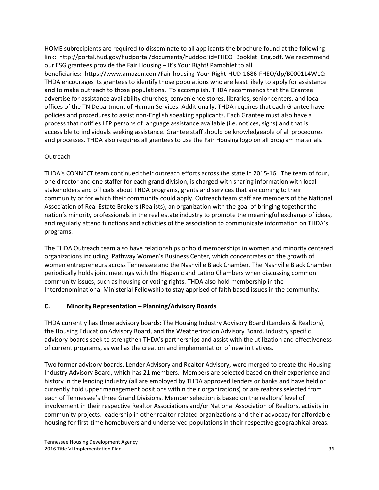HOME subrecipients are required to disseminate to all applicants the brochure found at the following link: [http://portal.hud.gov/hudportal/documents/huddoc?id=FHEO\\_Booklet\\_Eng.pdf.](http://portal.hud.gov/hudportal/documents/huddoc?id=FHEO_Booklet_Eng.pdf) We recommend our ESG grantees provide the Fair Housing – It's Your Right! Pamphlet to all beneficiaries: <https://www.amazon.com/Fair-housing-Your-Right-HUD-1686-FHEO/dp/B000114W1Q> THDA encourages its grantees to identify those populations who are least likely to apply for assistance and to make outreach to those populations. To accomplish, THDA recommends that the Grantee advertise for assistance availability churches, convenience stores, libraries, senior centers, and local offices of the TN Department of Human Services. Additionally, THDA requires that each Grantee have policies and procedures to assist non-English speaking applicants. Each Grantee must also have a process that notifies LEP persons of language assistance available (i.e. notices, signs) and that is accessible to individuals seeking assistance. Grantee staff should be knowledgeable of all procedures and processes. THDA also requires all grantees to use the Fair Housing logo on all program materials.

### Outreach

THDA's CONNECT team continued their outreach efforts across the state in 2015-16. The team of four, one director and one staffer for each grand division, is charged with sharing information with local stakeholders and officials about THDA programs, grants and services that are coming to their community or for which their community could apply. Outreach team staff are members of the National Association of Real Estate Brokers (Realists), an organization with the goal of bringing together the nation's minority professionals in the real estate industry to promote the meaningful exchange of ideas, and regularly attend functions and activities of the association to communicate information on THDA's programs.

The THDA Outreach team also have relationships or hold memberships in women and minority centered organizations including, Pathway Women's Business Center, which concentrates on the growth of women entrepreneurs across Tennessee and the Nashville Black Chamber. The Nashville Black Chamber periodically holds joint meetings with the Hispanic and Latino Chambers when discussing common community issues, such as housing or voting rights. THDA also hold membership in the Interdenominational Ministerial Fellowship to stay apprised of faith based issues in the community.

# **C. Minority Representation – Planning/Advisory Boards**

THDA currently has three advisory boards: The Housing Industry Advisory Board (Lenders & Realtors), the Housing Education Advisory Board, and the Weatherization Advisory Board. Industry specific advisory boards seek to strengthen THDA's partnerships and assist with the utilization and effectiveness of current programs, as well as the creation and implementation of new initiatives.

Two former advisory boards, Lender Advisory and Realtor Advisory, were merged to create the Housing Industry Advisory Board, which has 21 members. Members are selected based on their experience and history in the lending industry (all are employed by THDA approved lenders or banks and have held or currently hold upper management positions within their organizations) or are realtors selected from each of Tennessee's three Grand Divisions. Member selection is based on the realtors' level of involvement in their respective Realtor Associations and/or National Association of Realtors, activity in community projects, leadership in other realtor-related organizations and their advocacy for affordable housing for first-time homebuyers and underserved populations in their respective geographical areas.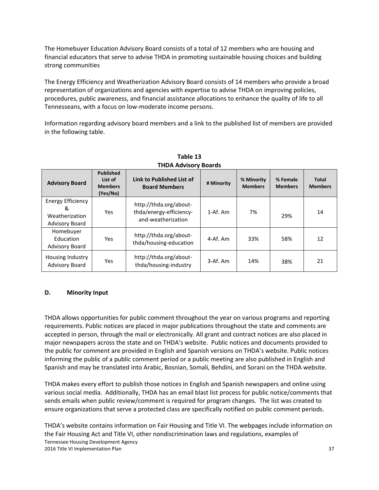The Homebuyer Education Advisory Board consists of a total of 12 members who are housing and financial educators that serve to advise THDA in promoting sustainable housing choices and building strong communities

The Energy Efficiency and Weatherization Advisory Board consists of 14 members who provide a broad representation of organizations and agencies with expertise to advise THDA on improving policies, procedures, public awareness, and financial assistance allocations to enhance the quality of life to all Tennesseans, with a focus on low-moderate income persons.

Information regarding advisory board members and a link to the published list of members are provided in the following table.

| .= <i>.</i> . <i>.</i> .woo                                       |                                                           |                                                                         |            |                              |                            |                                |  |  |  |  |  |
|-------------------------------------------------------------------|-----------------------------------------------------------|-------------------------------------------------------------------------|------------|------------------------------|----------------------------|--------------------------------|--|--|--|--|--|
| <b>Advisory Board</b>                                             | <b>Published</b><br>List of<br><b>Members</b><br>(Yes/No) | <b>Link to Published List of</b><br><b>Board Members</b>                | # Minority | % Minority<br><b>Members</b> | % Female<br><b>Members</b> | <b>Total</b><br><b>Members</b> |  |  |  |  |  |
| <b>Energy Efficiency</b><br>&<br>Weatherization<br>Advisory Board | Yes                                                       | http://thda.org/about-<br>thda/energy-efficiency-<br>and-weatherization | $1-Af.$ Am | 7%                           | 29%                        | 14                             |  |  |  |  |  |
| Homebuyer<br>Education<br>Advisory Board                          | Yes                                                       | http://thda.org/about-<br>thda/housing-education                        | 4-Af. Am   | 33%                          | 58%                        | 12                             |  |  |  |  |  |
| Housing Industry<br>Advisory Board                                | Yes                                                       | http://thda.org/about-<br>thda/housing-industry                         | $3-Af.$ Am | 14%                          | 38%                        | 21                             |  |  |  |  |  |

### **Table 13 THDA Advisory Boards**

# **D. Minority Input**

THDA allows opportunities for public comment throughout the year on various programs and reporting requirements. Public notices are placed in major publications throughout the state and comments are accepted in person, through the mail or electronically. All grant and contract notices are also placed in major newspapers across the state and on THDA's website. Public notices and documents provided to the public for comment are provided in English and Spanish versions on THDA's website. Public notices informing the public of a public comment period or a public meeting are also published in English and Spanish and may be translated into Arabic, Bosnian, Somali, Behdini, and Sorani on the THDA website.

THDA makes every effort to publish those notices in English and Spanish newspapers and online using various social media. Additionally, THDA has an email blast list process for public notice/comments that sends emails when public review/comment is required for program changes. The list was created to ensure organizations that serve a protected class are specifically notified on public comment periods.

Tennessee Housing Development Agency 2016 Title VI Implementation Plan 37 THDA's website contains information on Fair Housing and Title VI. The webpages include information on the Fair Housing Act and Title VI, other nondiscrimination laws and regulations, examples of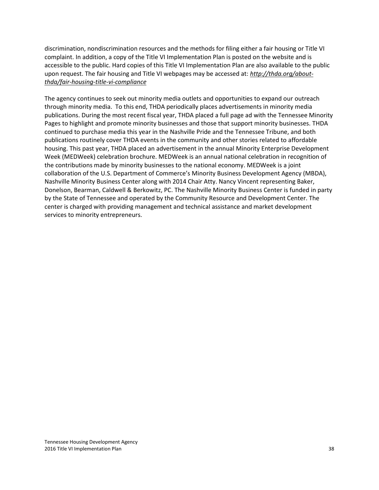discrimination, nondiscrimination resources and the methods for filing either a fair housing or Title VI complaint. In addition, a copy of the Title VI Implementation Plan is posted on the website and is accessible to the public. Hard copies of this Title VI Implementation Plan are also available to the public upon request. The fair housing and Title VI webpages may be accessed at: *[http://thda.org/about](http://thda.org/about-thda/fair-housing-title-vi-compliance)[thda/fair-housing-title-vi-compliance](http://thda.org/about-thda/fair-housing-title-vi-compliance)*

The agency continues to seek out minority media outlets and opportunities to expand our outreach through minority media. To this end, THDA periodically places advertisements in minority media publications. During the most recent fiscal year, THDA placed a full page ad with the Tennessee Minority Pages to highlight and promote minority businesses and those that support minority businesses. THDA continued to purchase media this year in the Nashville Pride and the Tennessee Tribune, and both publications routinely cover THDA events in the community and other stories related to affordable housing. This past year, THDA placed an advertisement in the annual Minority Enterprise Development Week (MEDWeek) celebration brochure. MEDWeek is an annual national celebration in recognition of the contributions made by minority businesses to the national economy. MEDWeek is a joint collaboration of the U.S. Department of Commerce's Minority Business Development Agency (MBDA), Nashville Minority Business Center along with 2014 Chair Atty. Nancy Vincent representing Baker, Donelson, Bearman, Caldwell & Berkowitz, PC. The Nashville Minority Business Center is funded in party by the State of Tennessee and operated by the Community Resource and Development Center. The center is charged with providing management and technical assistance and market development services to minority entrepreneurs.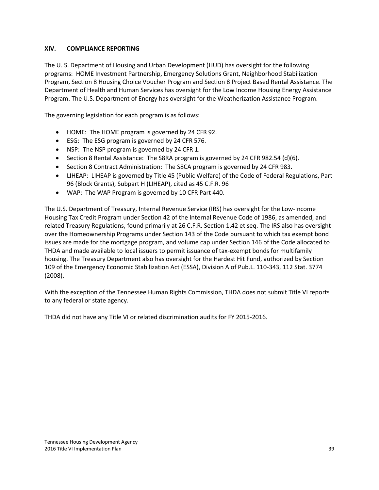#### **XIV. COMPLIANCE REPORTING**

The U. S. Department of Housing and Urban Development (HUD) has oversight for the following programs: HOME Investment Partnership, Emergency Solutions Grant, Neighborhood Stabilization Program, Section 8 Housing Choice Voucher Program and Section 8 Project Based Rental Assistance. The Department of Health and Human Services has oversight for the Low Income Housing Energy Assistance Program. The U.S. Department of Energy has oversight for the Weatherization Assistance Program.

The governing legislation for each program is as follows:

- HOME: The HOME program is governed by 24 CFR 92.
- ESG: The ESG program is governed by 24 CFR 576.
- NSP: The NSP program is governed by 24 CFR 1.
- Section 8 Rental Assistance: The S8RA program is governed by 24 CFR 982.54 (d)(6).
- Section 8 Contract Administration: The S8CA program is governed by 24 CFR 983.
- LIHEAP: LIHEAP is governed by Title 45 (Public Welfare) of the Code of Federal Regulations, Part 96 (Block Grants), [Subpart H](http://archive.acf.hhs.gov/programs/ocs/liheap/guidance/regulations/regh.html) (LIHEAP), cited as 45 C.F.R. 96
- WAP: The WAP Program is governed by 10 CFR Part 440.

The U.S. Department of Treasury, Internal Revenue Service (IRS) has oversight for the Low-Income Housing Tax Credit Program under Section 42 of the Internal Revenue Code of 1986, as amended, and related Treasury Regulations, found primarily at 26 C.F.R. Section 1.42 et seq. The IRS also has oversight over the Homeownership Programs under Section 143 of the Code pursuant to which tax exempt bond issues are made for the mortgage program, and volume cap under Section 146 of the Code allocated to THDA and made available to local issuers to permit issuance of tax-exempt bonds for multifamily housing. The Treasury Department also has oversight for the Hardest Hit Fund, authorized by Section 109 of the Emergency Economic Stabilization Act (ESSA), Division A of Pub.L. 110-343, 112 Stat. 3774 (2008).

With the exception of the Tennessee Human Rights Commission, THDA does not submit Title VI reports to any federal or state agency.

THDA did not have any Title VI or related discrimination audits for FY 2015-2016.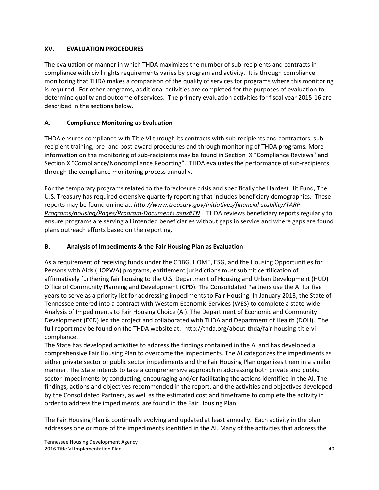## **XV. EVALUATION PROCEDURES**

The evaluation or manner in which THDA maximizes the number of sub-recipients and contracts in compliance with civil rights requirements varies by program and activity. It is through compliance monitoring that THDA makes a comparison of the quality of services for programs where this monitoring is required. For other programs, additional activities are completed for the purposes of evaluation to determine quality and outcome of services. The primary evaluation activities for fiscal year 2015-16 are described in the sections below.

# **A. Compliance Monitoring as Evaluation**

THDA ensures compliance with Title VI through its contracts with sub-recipients and contractors, subrecipient training, pre- and post-award procedures and through monitoring of THDA programs. More information on the monitoring of sub-recipients may be found in Section IX "Compliance Reviews" and Section X "Compliance/Noncompliance Reporting". THDA evaluates the performance of sub-recipients through the compliance monitoring process annually.

For the temporary programs related to the foreclosure crisis and specifically the Hardest Hit Fund, The U.S. Treasury has required extensive quarterly reporting that includes beneficiary demographics. These reports may be found online at: *[http://www.treasury.gov/initiatives/financial-stability/TARP-](http://www.treasury.gov/initiatives/financial-stability/TARP-Programs/housing/Pages/Program-Documents.aspx#TN)[Programs/housing/Pages/Program-Documents.aspx#TN](http://www.treasury.gov/initiatives/financial-stability/TARP-Programs/housing/Pages/Program-Documents.aspx#TN)*. THDA reviews beneficiary reports regularly to ensure programs are serving all intended beneficiaries without gaps in service and where gaps are found plans outreach efforts based on the reporting.

# **B. Analysis of Impediments & the Fair Housing Plan as Evaluation**

As a requirement of receiving funds under the CDBG, HOME, ESG, and the Housing Opportunities for Persons with Aids (HOPWA) programs, entitlement jurisdictions must submit certification of affirmatively furthering fair housing to the U.S. Department of Housing and Urban Development (HUD) Office of Community Planning and Development (CPD). The Consolidated Partners use the AI for five years to serve as a priority list for addressing impediments to Fair Housing. In January 2013, the State of Tennessee entered into a contract with Western Economic Services (WES) to complete a state-wide Analysis of Impediments to Fair Housing Choice (AI). The Department of Economic and Community Development (ECD) led the project and collaborated with THDA and Department of Health (DOH). The full report may be found on the THDA website at: http://thda.org/about-thda/fair-housing-title-vicompliance.

The State has developed activities to address the findings contained in the AI and has developed a comprehensive Fair Housing Plan to overcome the impediments. The AI categorizes the impediments as either private sector or public sector impediments and the Fair Housing Plan organizes them in a similar manner. The State intends to take a comprehensive approach in addressing both private and public sector impediments by conducting, encouraging and/or facilitating the actions identified in the AI. The findings, actions and objectives recommended in the report, and the activities and objectives developed by the Consolidated Partners, as well as the estimated cost and timeframe to complete the activity in order to address the impediments, are found in the Fair Housing Plan.

The Fair Housing Plan is continually evolving and updated at least annually. Each activity in the plan addresses one or more of the impediments identified in the AI. Many of the activities that address the